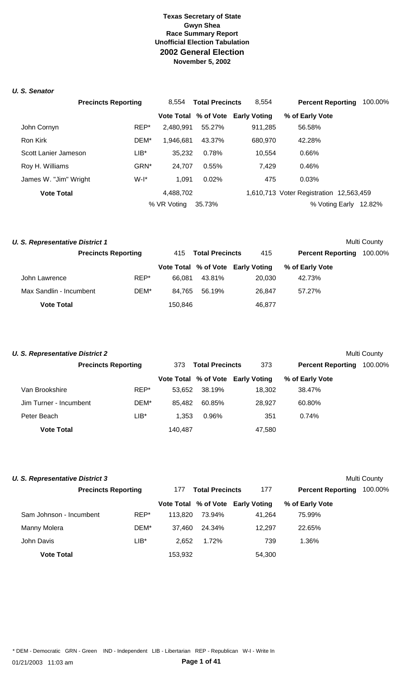#### *U. S. Senator*

| <b>Precincts Reporting</b> |                  | 8.554       | <b>Total Precincts</b> | 8.554                             | <b>Percent Reporting</b>                | 100.00% |
|----------------------------|------------------|-------------|------------------------|-----------------------------------|-----------------------------------------|---------|
|                            |                  |             |                        | Vote Total % of Vote Early Voting | % of Early Vote                         |         |
| John Cornyn                | REP*             | 2.480.991   | 55.27%                 | 911,285                           | 56.58%                                  |         |
| Ron Kirk                   | DEM*             | 1.946.681   | 43.37%                 | 680,970                           | 42.28%                                  |         |
| Scott Lanier Jameson       | $LIB^*$          | 35,232      | 0.78%                  | 10.554                            | 0.66%                                   |         |
| Roy H. Williams            | GRN <sup>*</sup> | 24.707      | 0.55%                  | 7,429                             | 0.46%                                   |         |
| James W. "Jim" Wright      | $W-I^*$          | 1.091       | 0.02%                  | 475                               | 0.03%                                   |         |
| <b>Vote Total</b>          |                  | 4.488.702   |                        |                                   | 1,610,713 Voter Registration 12,563,459 |         |
|                            |                  | % VR Voting | 35.73%                 |                                   | % Voting Early                          | 12.82%  |

| U. S. Representative District 1 |                            |      |                               |        |                                   |                          | Multi County |
|---------------------------------|----------------------------|------|-------------------------------|--------|-----------------------------------|--------------------------|--------------|
|                                 | <b>Precincts Reporting</b> |      | <b>Total Precincts</b><br>415 |        | 415                               | <b>Percent Reporting</b> | 100.00%      |
|                                 |                            |      |                               |        | Vote Total % of Vote Early Voting | % of Early Vote          |              |
| John Lawrence                   |                            | REP* | 66.081                        | 43.81% | 20.030                            | 42.73%                   |              |
| Max Sandlin - Incumbent         |                            | DEM* | 84.765                        | 56.19% | 26.847                            | 57.27%                   |              |
| <b>Vote Total</b>               |                            |      | 150,846                       |        | 46,877                            |                          |              |

| <b>U. S. Representative District 2</b> |                            |      |                               |        |                                   |                          | Multi County |
|----------------------------------------|----------------------------|------|-------------------------------|--------|-----------------------------------|--------------------------|--------------|
|                                        | <b>Precincts Reporting</b> |      | <b>Total Precincts</b><br>373 |        | 373                               | <b>Percent Reporting</b> | 100.00%      |
|                                        |                            |      |                               |        | Vote Total % of Vote Early Voting | % of Early Vote          |              |
| Van Brookshire                         |                            | REP* | 53.652                        | 38.19% | 18.302                            | 38.47%                   |              |
| Jim Turner - Incumbent                 |                            | DEM* | 85.482                        | 60.85% | 28.927                            | 60.80%                   |              |
| Peter Beach                            |                            | LIB* | 1.353                         | 0.96%  | 351                               | 0.74%                    |              |
| <b>Vote Total</b>                      |                            |      | 140.487                       |        | 47,580                            |                          |              |

| <b>U. S. Representative District 3</b> |                            |      |                               |        |                                   |                          | Multi County |
|----------------------------------------|----------------------------|------|-------------------------------|--------|-----------------------------------|--------------------------|--------------|
|                                        | <b>Precincts Reporting</b> |      | <b>Total Precincts</b><br>177 |        | 177                               | <b>Percent Reporting</b> | 100.00%      |
|                                        |                            |      |                               |        | Vote Total % of Vote Early Voting | % of Early Vote          |              |
| Sam Johnson - Incumbent                |                            | REP* | 113.820                       | 73.94% | 41.264                            | 75.99%                   |              |
| Manny Molera                           |                            | DEM* | 37.460                        | 24.34% | 12.297                            | 22.65%                   |              |
| John Davis                             |                            | LIB* | 2.652                         | 1.72%  | 739                               | 1.36%                    |              |
| <b>Vote Total</b>                      |                            |      | 153,932                       |        | 54,300                            |                          |              |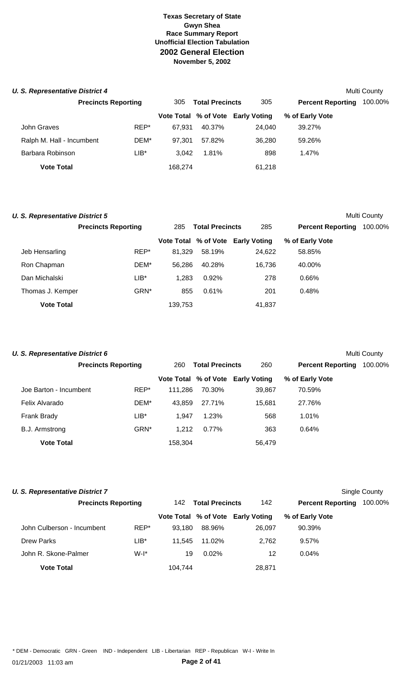| <b>U. S. Representative District 4</b> |                            |        |                               |        |                                   |                          | Multi County |
|----------------------------------------|----------------------------|--------|-------------------------------|--------|-----------------------------------|--------------------------|--------------|
|                                        | <b>Precincts Reporting</b> |        | <b>Total Precincts</b><br>305 |        | 305                               | <b>Percent Reporting</b> | 100.00%      |
|                                        |                            |        |                               |        | Vote Total % of Vote Early Voting | % of Early Vote          |              |
| John Graves                            |                            | REP*   | 67.931                        | 40.37% | 24.040                            | 39.27%                   |              |
| Ralph M. Hall - Incumbent              |                            | DEM*   | 97.301                        | 57.82% | 36,280                            | 59.26%                   |              |
| Barbara Robinson                       |                            | $LIB*$ | 3.042                         | 1.81%  | 898                               | $1.47\%$                 |              |
| <b>Vote Total</b>                      |                            |        | 168.274                       |        | 61,218                            |                          |              |

| <b>U. S. Representative District 5</b> |                            |         |                        |                                   |                          | Multi County |
|----------------------------------------|----------------------------|---------|------------------------|-----------------------------------|--------------------------|--------------|
|                                        | <b>Precincts Reporting</b> | 285     | <b>Total Precincts</b> |                                   | <b>Percent Reporting</b> | 100.00%      |
|                                        |                            |         |                        | Vote Total % of Vote Early Voting | % of Early Vote          |              |
| Jeb Hensarling                         | REP*                       | 81.329  | 58.19%                 | 24,622                            | 58.85%                   |              |
| Ron Chapman                            | DEM*                       | 56.286  | 40.28%                 | 16,736                            | 40.00%                   |              |
| Dan Michalski                          | LIB*                       | 1.283   | 0.92%                  | 278                               | 0.66%                    |              |
| Thomas J. Kemper                       | GRN <sup>*</sup>           | 855     | 0.61%                  | 201                               | 0.48%                    |              |
| <b>Vote Total</b>                      |                            | 139,753 |                        | 41,837                            |                          |              |

| <b>U. S. Representative District 6</b> |                            |         |                               |          |                                   |                          | Multi County |
|----------------------------------------|----------------------------|---------|-------------------------------|----------|-----------------------------------|--------------------------|--------------|
|                                        | <b>Precincts Reporting</b> |         | <b>Total Precincts</b><br>260 |          | 260                               | <b>Percent Reporting</b> | 100.00%      |
|                                        |                            |         |                               |          | Vote Total % of Vote Early Voting | % of Early Vote          |              |
| Joe Barton - Incumbent                 |                            | REP*    | 111.286                       | 70.30%   | 39,867                            | 70.59%                   |              |
| Felix Alvarado                         |                            | DEM*    | 43.859                        | 27.71%   | 15,681                            | 27.76%                   |              |
| Frank Brady                            |                            | $LIB^*$ | 1.947                         | 1.23%    | 568                               | 1.01%                    |              |
| B.J. Armstrong                         |                            | GRN*    | 1.212                         | $0.77\%$ | 363                               | 0.64%                    |              |
| <b>Vote Total</b>                      |                            |         | 158.304                       |          | 56.479                            |                          |              |

| <b>U. S. Representative District 7</b> |                            |         |                        |                                   |                          | Single County |
|----------------------------------------|----------------------------|---------|------------------------|-----------------------------------|--------------------------|---------------|
|                                        | <b>Precincts Reporting</b> |         | <b>Total Precincts</b> | 142                               | <b>Percent Reporting</b> | 100.00%       |
|                                        |                            |         |                        | Vote Total % of Vote Early Voting | % of Early Vote          |               |
| John Culberson - Incumbent             | REP*                       | 93.180  | 88.96%                 | 26.097                            | 90.39%                   |               |
| Drew Parks                             | LIB*                       | 11.545  | 11.02%                 | 2.762                             | 9.57%                    |               |
| John R. Skone-Palmer                   | $W-I^*$                    | 19      | $0.02\%$               | 12                                | $0.04\%$                 |               |
| <b>Vote Total</b>                      |                            | 104.744 |                        | 28,871                            |                          |               |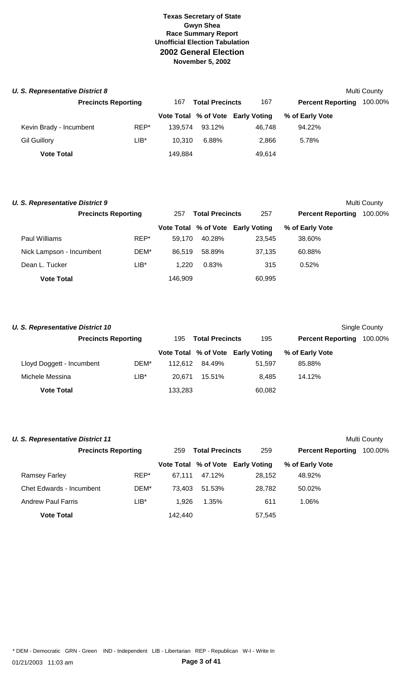| U. S. Representative District 8 |                            |      |                               |        |                                   |                          | <b>Multi County</b> |
|---------------------------------|----------------------------|------|-------------------------------|--------|-----------------------------------|--------------------------|---------------------|
|                                 | <b>Precincts Reporting</b> |      | <b>Total Precincts</b><br>167 |        | 167                               | <b>Percent Reporting</b> | 100.00%             |
|                                 |                            |      |                               |        | Vote Total % of Vote Early Voting | % of Early Vote          |                     |
| Kevin Brady - Incumbent         |                            | REP* | 139.574                       | 93.12% | 46.748                            | 94.22%                   |                     |
| <b>Gil Guillory</b>             |                            | LIB* | 10.310                        | 6.88%  | 2,866                             | 5.78%                    |                     |
| <b>Vote Total</b>               |                            |      | 149.884                       |        | 49.614                            |                          |                     |

| <b>U. S. Representative District 9</b> |                            |         |                               |        |                                   |                          | Multi County |
|----------------------------------------|----------------------------|---------|-------------------------------|--------|-----------------------------------|--------------------------|--------------|
|                                        | <b>Precincts Reporting</b> |         | <b>Total Precincts</b><br>257 |        | 257                               | <b>Percent Reporting</b> | 100.00%      |
|                                        |                            |         |                               |        | Vote Total % of Vote Early Voting | % of Early Vote          |              |
| Paul Williams                          |                            | REP*    | 59.170                        | 40.28% | 23.545                            | 38.60%                   |              |
| Nick Lampson - Incumbent               |                            | DEM*    | 86.519                        | 58.89% | 37.135                            | 60.88%                   |              |
| Dean L. Tucker                         |                            | $LIB^*$ | 1.220                         | 0.83%  | 315                               | 0.52%                    |              |
| <b>Vote Total</b>                      |                            |         | 146.909                       |        | 60,995                            |                          |              |

| <b>U. S. Representative District 10</b> |                            |         |                                |                                   |                          | Single County |
|-----------------------------------------|----------------------------|---------|--------------------------------|-----------------------------------|--------------------------|---------------|
|                                         | <b>Precincts Reporting</b> |         | <b>Total Precincts</b><br>195. |                                   | <b>Percent Reporting</b> | 100.00%       |
|                                         |                            |         |                                | Vote Total % of Vote Early Voting | % of Early Vote          |               |
| Lloyd Doggett - Incumbent               | DEM*                       | 112.612 | 84.49%                         | 51.597                            | 85.88%                   |               |
| Michele Messina                         | $LIB^*$                    | 20.671  | 15.51%                         | 8.485                             | 14.12%                   |               |
| <b>Vote Total</b>                       |                            | 133.283 |                                | 60,082                            |                          |               |

| <b>U. S. Representative District 11</b> |                            |      |                               |        |                                   |                          | Multi County |
|-----------------------------------------|----------------------------|------|-------------------------------|--------|-----------------------------------|--------------------------|--------------|
|                                         | <b>Precincts Reporting</b> |      | <b>Total Precincts</b><br>259 |        | 259                               | <b>Percent Reporting</b> | 100.00%      |
|                                         |                            |      |                               |        | Vote Total % of Vote Early Voting | % of Early Vote          |              |
| <b>Ramsey Farley</b>                    |                            | REP* | 67.111                        | 47.12% | 28.152                            | 48.92%                   |              |
| <b>Chet Edwards - Incumbent</b>         |                            | DEM* | 73.403                        | 51.53% | 28.782                            | 50.02%                   |              |
| <b>Andrew Paul Farris</b>               |                            | LIB* | 1,926                         | 1.35%  | 611                               | $1.06\%$                 |              |
| <b>Vote Total</b>                       |                            |      | 142.440                       |        | 57,545                            |                          |              |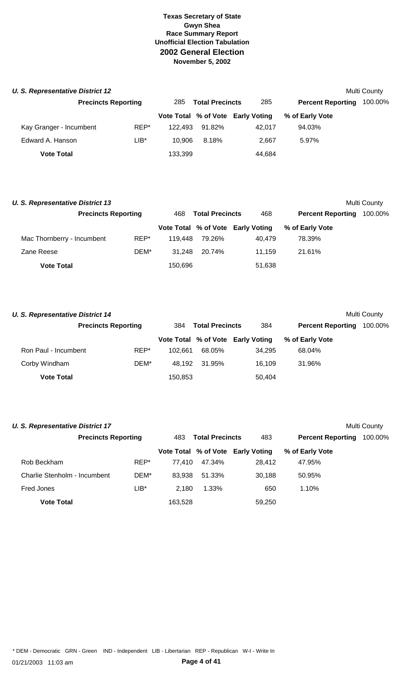| <b>U. S. Representative District 12</b> |                            |      |                               |        |                                   |                          | Multi County |
|-----------------------------------------|----------------------------|------|-------------------------------|--------|-----------------------------------|--------------------------|--------------|
|                                         | <b>Precincts Reporting</b> |      | <b>Total Precincts</b><br>285 |        | 285                               | <b>Percent Reporting</b> | 100.00%      |
|                                         |                            |      |                               |        | Vote Total % of Vote Early Voting | % of Early Vote          |              |
| Kay Granger - Incumbent                 |                            | REP* | 122.493                       | 91.82% | 42.017                            | 94.03%                   |              |
| Edward A. Hanson                        |                            | LIB* | 10.906                        | 8.18%  | 2,667                             | 5.97%                    |              |
| <b>Vote Total</b>                       |                            |      | 133,399                       |        | 44,684                            |                          |              |

| <b>U. S. Representative District 13</b> |                            |      |                               |        |                                   |                          | Multi County |
|-----------------------------------------|----------------------------|------|-------------------------------|--------|-----------------------------------|--------------------------|--------------|
|                                         | <b>Precincts Reporting</b> |      | <b>Total Precincts</b><br>468 |        | 468                               | <b>Percent Reporting</b> | 100.00%      |
|                                         |                            |      |                               |        | Vote Total % of Vote Early Voting | % of Early Vote          |              |
| Mac Thornberry - Incumbent              |                            | REP* | 119.448                       | 79.26% | 40.479                            | 78.39%                   |              |
| Zane Reese                              |                            | DEM* | 31.248                        | 20.74% | 11.159                            | 21.61%                   |              |
| <b>Vote Total</b>                       |                            |      | 150,696                       |        | 51,638                            |                          |              |

| <b>U. S. Representative District 14</b> |                            |      |                               |        |                                   |                          | Multi County |
|-----------------------------------------|----------------------------|------|-------------------------------|--------|-----------------------------------|--------------------------|--------------|
|                                         | <b>Precincts Reporting</b> |      | 384<br><b>Total Precincts</b> |        | 384                               | <b>Percent Reporting</b> | 100.00%      |
|                                         |                            |      |                               |        | Vote Total % of Vote Early Voting | % of Early Vote          |              |
| Ron Paul - Incumbent                    |                            | REP* | 102.661                       | 68.05% | 34.295                            | 68.04%                   |              |
| Corby Windham                           |                            | DEM* | 48.192                        | 31.95% | 16.109                            | 31.96%                   |              |
| <b>Vote Total</b>                       |                            |      | 150,853                       |        | 50.404                            |                          |              |

| <b>U. S. Representative District 17</b> |                            |         |                               |        |                                   |                          | Multi County |
|-----------------------------------------|----------------------------|---------|-------------------------------|--------|-----------------------------------|--------------------------|--------------|
|                                         | <b>Precincts Reporting</b> |         | 483<br><b>Total Precincts</b> |        | 483                               | <b>Percent Reporting</b> | 100.00%      |
|                                         |                            |         |                               |        | Vote Total % of Vote Early Voting | % of Early Vote          |              |
| Rob Beckham                             |                            | REP*    | 77.410                        | 47.34% | 28.412                            | 47.95%                   |              |
| Charlie Stenholm - Incumbent            |                            | DEM*    | 83.938                        | 51.33% | 30.188                            | 50.95%                   |              |
| Fred Jones                              |                            | $LIB^*$ | 2.180                         | 1.33%  | 650                               | 1.10%                    |              |
| <b>Vote Total</b>                       |                            |         | 163.528                       |        | 59,250                            |                          |              |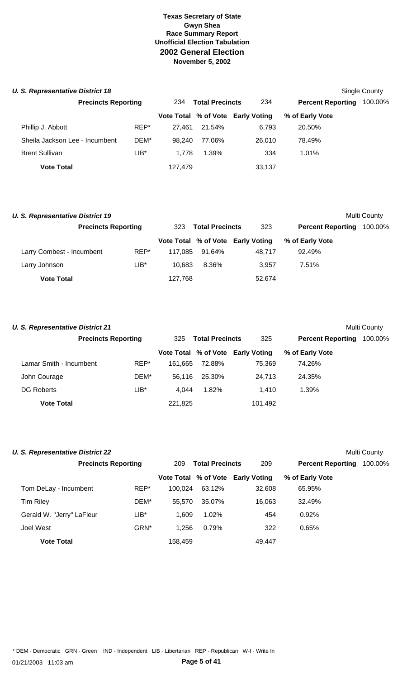| <b>U. S. Representative District 18</b> |                            |        |                               |        |                                   |                          | Single County |
|-----------------------------------------|----------------------------|--------|-------------------------------|--------|-----------------------------------|--------------------------|---------------|
|                                         | <b>Precincts Reporting</b> |        | <b>Total Precincts</b><br>234 |        | 234                               | <b>Percent Reporting</b> | 100.00%       |
|                                         |                            |        |                               |        | Vote Total % of Vote Early Voting | % of Early Vote          |               |
| Phillip J. Abbott                       |                            | REP*   | 27.461                        | 21.54% | 6.793                             | 20.50%                   |               |
| Sheila Jackson Lee - Incumbent          |                            | DEM*   | 98.240                        | 77.06% | 26.010                            | 78.49%                   |               |
| <b>Brent Sullivan</b>                   |                            | $LIB*$ | 1.778                         | 1.39%  | 334                               | 1.01%                    |               |
| <b>Vote Total</b>                       |                            |        | 127.479                       |        | 33,137                            |                          |               |

| <b>U. S. Representative District 19</b> |                            |         |                               |                                   |                          | Multi County |
|-----------------------------------------|----------------------------|---------|-------------------------------|-----------------------------------|--------------------------|--------------|
|                                         | <b>Precincts Reporting</b> |         | <b>Total Precincts</b><br>323 |                                   | <b>Percent Reporting</b> | 100.00%      |
|                                         |                            |         |                               | Vote Total % of Vote Early Voting | % of Early Vote          |              |
| Larry Combest - Incumbent               | REP*                       | 117.085 | 91.64%                        | 48.717                            | 92.49%                   |              |
| Larry Johnson                           | $LIB^*$                    | 10.683  | 8.36%                         | 3.957                             | 7.51%                    |              |
| <b>Vote Total</b>                       |                            | 127.768 |                               | 52.674                            |                          |              |

| U. S. Representative District 21 |                            |        |                               |        |                                   |                          | Multi County |
|----------------------------------|----------------------------|--------|-------------------------------|--------|-----------------------------------|--------------------------|--------------|
|                                  | <b>Precincts Reporting</b> |        | <b>Total Precincts</b><br>325 |        | 325                               | <b>Percent Reporting</b> | 100.00%      |
|                                  |                            |        |                               |        | Vote Total % of Vote Early Voting | % of Early Vote          |              |
| Lamar Smith - Incumbent          |                            | REP*   | 161.665                       | 72.88% | 75,369                            | 74.26%                   |              |
| John Courage                     |                            | DEM*   | 56.116                        | 25.30% | 24.713                            | 24.35%                   |              |
| DG Roberts                       |                            | $LIB*$ | 4.044                         | 1.82%  | 1.410                             | 1.39%                    |              |
| <b>Vote Total</b>                |                            |        | 221,825                       |        | 101,492                           |                          |              |

| <b>U. S. Representative District 22</b> |                            |        |                               |          |                                   |                          | Multi County |
|-----------------------------------------|----------------------------|--------|-------------------------------|----------|-----------------------------------|--------------------------|--------------|
|                                         | <b>Precincts Reporting</b> |        | <b>Total Precincts</b><br>209 |          | 209                               | <b>Percent Reporting</b> | 100.00%      |
|                                         |                            |        |                               |          | Vote Total % of Vote Early Voting | % of Early Vote          |              |
| Tom DeLay - Incumbent                   |                            | REP*   | 100.024                       | 63.12%   | 32,608                            | 65.95%                   |              |
| <b>Tim Riley</b>                        |                            | DEM*   | 55.570                        | 35.07%   | 16,063                            | 32.49%                   |              |
| Gerald W. "Jerry" LaFleur               |                            | $LIB*$ | 1.609                         | $1.02\%$ | 454                               | 0.92%                    |              |
| Joel West                               |                            | GRN*   | 1.256                         | 0.79%    | 322                               | 0.65%                    |              |
| <b>Vote Total</b>                       |                            |        | 158,459                       |          | 49,447                            |                          |              |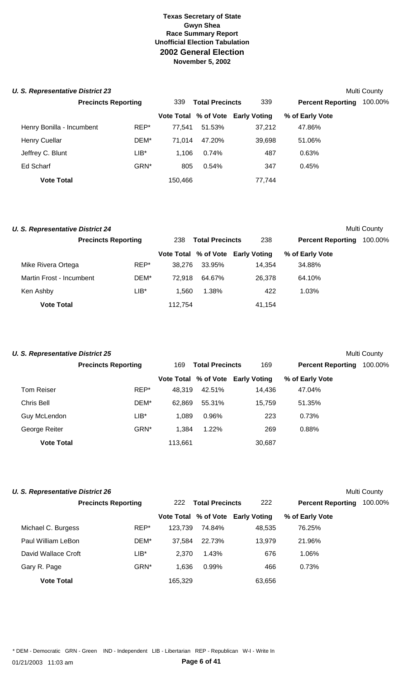| <b>U. S. Representative District 23</b> |                            |         |                        |                                   |                          | Multi County |
|-----------------------------------------|----------------------------|---------|------------------------|-----------------------------------|--------------------------|--------------|
|                                         | <b>Precincts Reporting</b> | 339     | <b>Total Precincts</b> |                                   | <b>Percent Reporting</b> | 100.00%      |
|                                         |                            |         |                        | Vote Total % of Vote Early Voting | % of Early Vote          |              |
| Henry Bonilla - Incumbent               | REP*                       | 77.541  | 51.53%                 | 37,212                            | 47.86%                   |              |
| Henry Cuellar                           | DEM*                       | 71.014  | 47.20%                 | 39,698                            | 51.06%                   |              |
| Jeffrey C. Blunt                        | $LIB*$                     | 1.106   | 0.74%                  | 487                               | 0.63%                    |              |
| Ed Scharf                               | GRN*                       | 805     | 0.54%                  | 347                               | 0.45%                    |              |
| <b>Vote Total</b>                       |                            | 150.466 |                        | 77,744                            |                          |              |

| <b>U. S. Representative District 24</b> |                            |      |                               |        |                                   |                          | Multi County |
|-----------------------------------------|----------------------------|------|-------------------------------|--------|-----------------------------------|--------------------------|--------------|
|                                         | <b>Precincts Reporting</b> |      | <b>Total Precincts</b><br>238 |        | 238                               | <b>Percent Reporting</b> | 100.00%      |
|                                         |                            |      |                               |        | Vote Total % of Vote Early Voting | % of Early Vote          |              |
| Mike Rivera Ortega                      |                            | REP* | 38.276                        | 33.95% | 14.354                            | 34.88%                   |              |
| Martin Frost - Incumbent                |                            | DEM* | 72.918                        | 64.67% | 26.378                            | 64.10%                   |              |
| Ken Ashby                               |                            | LIB* | 1.560                         | 1.38%  | 422                               | 1.03%                    |              |
| <b>Vote Total</b>                       |                            |      | 112.754                       |        | 41,154                            |                          |              |

| <b>U. S. Representative District 25</b> |                            |         |                        |                                   |                          | Multi County |
|-----------------------------------------|----------------------------|---------|------------------------|-----------------------------------|--------------------------|--------------|
|                                         | <b>Precincts Reporting</b> | 169     | <b>Total Precincts</b> |                                   | <b>Percent Reporting</b> | 100.00%      |
|                                         |                            |         |                        | Vote Total % of Vote Early Voting | % of Early Vote          |              |
| <b>Tom Reiser</b>                       | REP*                       | 48.319  | 42.51%                 | 14.436                            | 47.04%                   |              |
| Chris Bell                              | DEM*                       | 62.869  | 55.31%                 | 15.759                            | 51.35%                   |              |
| Guy McLendon                            | LIB*                       | 1,089   | 0.96%                  | 223                               | 0.73%                    |              |
| George Reiter                           | GRN*                       | 1,384   | 1.22%                  | 269                               | 0.88%                    |              |
| <b>Vote Total</b>                       |                            | 113,661 |                        | 30,687                            |                          |              |

| <b>U. S. Representative District 26</b> |                            |         |                        |                                   |                          | Multi County |
|-----------------------------------------|----------------------------|---------|------------------------|-----------------------------------|--------------------------|--------------|
|                                         | <b>Precincts Reporting</b> | 222     | <b>Total Precincts</b> |                                   | <b>Percent Reporting</b> | 100.00%      |
|                                         |                            |         |                        | Vote Total % of Vote Early Voting | % of Early Vote          |              |
| Michael C. Burgess                      | REP*                       | 123.739 | 74.84%                 | 48,535                            | 76.25%                   |              |
| Paul William LeBon                      | DEM*                       | 37.584  | 22.73%                 | 13.979                            | 21.96%                   |              |
| David Wallace Croft                     | $LIB^*$                    | 2.370   | 1.43%                  | 676                               | 1.06%                    |              |
| Gary R. Page                            | GRN*                       | 1.636   | 0.99%                  | 466                               | 0.73%                    |              |
| <b>Vote Total</b>                       |                            | 165.329 |                        | 63,656                            |                          |              |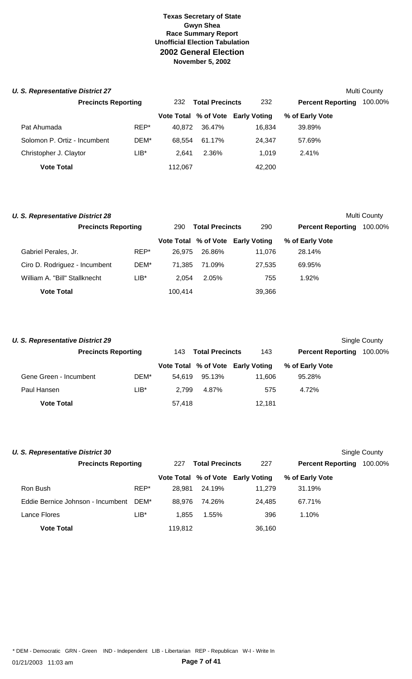| U. S. Representative District 27 |                            |      |                               |        |                                   |                          | Multi County |
|----------------------------------|----------------------------|------|-------------------------------|--------|-----------------------------------|--------------------------|--------------|
|                                  | <b>Precincts Reporting</b> |      | <b>Total Precincts</b><br>232 |        | 232                               | <b>Percent Reporting</b> | 100.00%      |
|                                  |                            |      |                               |        | Vote Total % of Vote Early Voting | % of Early Vote          |              |
| Pat Ahumada                      |                            | REP* | 40.872                        | 36.47% | 16.834                            | 39.89%                   |              |
| Solomon P. Ortiz - Incumbent     |                            | DEM* | 68.554                        | 61.17% | 24.347                            | 57.69%                   |              |
| Christopher J. Claytor           |                            | LIB* | 2.641                         | 2.36%  | 1.019                             | 2.41%                    |              |
| <b>Vote Total</b>                |                            |      | 112.067                       |        | 42,200                            |                          |              |

| <b>U. S. Representative District 28</b> |                            |      |         |                        |                                   |                          | Multi County |  |
|-----------------------------------------|----------------------------|------|---------|------------------------|-----------------------------------|--------------------------|--------------|--|
|                                         | <b>Precincts Reporting</b> |      | 290     | <b>Total Precincts</b> | 290                               | <b>Percent Reporting</b> | 100.00%      |  |
|                                         |                            |      |         |                        | Vote Total % of Vote Early Voting | % of Early Vote          |              |  |
| Gabriel Perales, Jr.                    |                            | REP* | 26.975  | 26.86%                 | 11.076                            | 28.14%                   |              |  |
| Ciro D. Rodriguez - Incumbent           |                            | DEM* | 71.385  | 71.09%                 | 27.535                            | 69.95%                   |              |  |
| William A. "Bill" Stallknecht           |                            | LIB* | 2.054   | 2.05%                  | 755                               | $1.92\%$                 |              |  |
| <b>Vote Total</b>                       |                            |      | 100.414 |                        | 39,366                            |                          |              |  |

| U. S. Representative District 29 |                            |                               |        |                                   |                          | Single County |
|----------------------------------|----------------------------|-------------------------------|--------|-----------------------------------|--------------------------|---------------|
|                                  | <b>Precincts Reporting</b> | <b>Total Precincts</b><br>143 |        | 143                               | <b>Percent Reporting</b> | 100.00%       |
|                                  |                            |                               |        | Vote Total % of Vote Early Voting | % of Early Vote          |               |
| Gene Green - Incumbent           | DEM*                       | 54.619                        | 95.13% | 11.606                            | 95.28%                   |               |
| Paul Hansen                      | $LIB*$                     | 2.799                         | 4.87%  | 575                               | 4.72%                    |               |
| <b>Vote Total</b>                |                            | 57.418                        |        | 12.181                            |                          |               |

| <b>U. S. Representative District 30</b><br><b>Single County</b> |                            |        |                               |        |                                   |                          |         |  |  |
|-----------------------------------------------------------------|----------------------------|--------|-------------------------------|--------|-----------------------------------|--------------------------|---------|--|--|
|                                                                 | <b>Precincts Reporting</b> |        | <b>Total Precincts</b><br>227 |        | 227                               | <b>Percent Reporting</b> | 100.00% |  |  |
|                                                                 |                            |        |                               |        | Vote Total % of Vote Early Voting | % of Early Vote          |         |  |  |
| Ron Bush                                                        |                            | REP*   | 28.981                        | 24.19% | 11.279                            | 31.19%                   |         |  |  |
| Eddie Bernice Johnson - Incumbent                               |                            | DEM*   | 88.976                        | 74.26% | 24.485                            | 67.71%                   |         |  |  |
| Lance Flores                                                    |                            | $LIB*$ | 1.855                         | 1.55%  | 396                               | 1.10%                    |         |  |  |
| <b>Vote Total</b>                                               |                            |        | 119.812                       |        | 36.160                            |                          |         |  |  |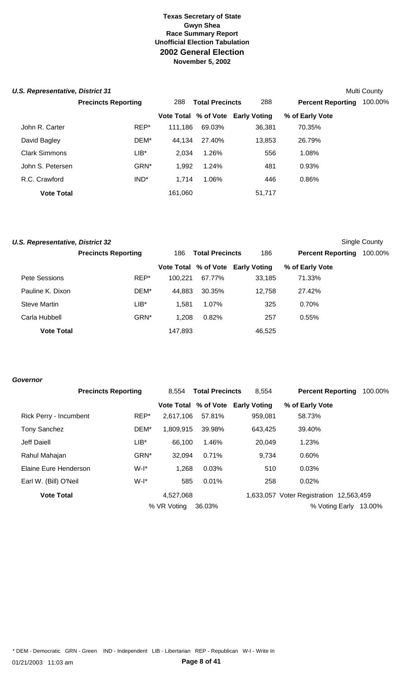| <b>U.S. Representative, District 31</b> |                            |         |                        |                                   |                          | Multi County |
|-----------------------------------------|----------------------------|---------|------------------------|-----------------------------------|--------------------------|--------------|
|                                         | <b>Precincts Reporting</b> | 288     | <b>Total Precincts</b> |                                   | <b>Percent Reporting</b> | 100.00%      |
|                                         |                            |         |                        | Vote Total % of Vote Early Voting | % of Early Vote          |              |
| John R. Carter                          | REP*                       | 111.186 | 69.03%                 | 36.381                            | 70.35%                   |              |
| David Bagley                            | DEM*                       | 44.134  | 27.40%                 | 13,853                            | 26.79%                   |              |
| <b>Clark Simmons</b>                    | $LIB^*$                    | 2.034   | 1.26%                  | 556                               | 1.08%                    |              |
| John S. Petersen                        | GRN <sup>*</sup>           | 1,992   | 1.24%                  | 481                               | 0.93%                    |              |
| R.C. Crawford                           | IND <sup>*</sup>           | 1.714   | 1.06%                  | 446                               | 0.86%                    |              |
| <b>Vote Total</b>                       |                            | 161,060 |                        | 51,717                            |                          |              |

| <b>U.S. Representative, District 32</b> |                            |         |                        |                                   |                          | Single County |
|-----------------------------------------|----------------------------|---------|------------------------|-----------------------------------|--------------------------|---------------|
|                                         | <b>Precincts Reporting</b> | 186     | <b>Total Precincts</b> | 186                               | <b>Percent Reporting</b> | 100.00%       |
|                                         |                            |         |                        | Vote Total % of Vote Early Voting | % of Early Vote          |               |
| Pete Sessions                           | REP*                       | 100.221 | 67.77%                 | 33,185                            | 71.33%                   |               |
| Pauline K. Dixon                        | DEM*                       | 44.883  | 30.35%                 | 12,758                            | 27.42%                   |               |
| <b>Steve Martin</b>                     | $LIB^*$                    | 1.581   | 1.07%                  | 325                               | 0.70%                    |               |
| Carla Hubbell                           | GRN <sup>*</sup>           | 1,208   | 0.82%                  | 257                               | 0.55%                    |               |
| <b>Vote Total</b>                       |                            | 147,893 |                        | 46,525                            |                          |               |

#### *Governor*

| <b>Precincts Reporting</b> |      | 8,554       | <b>Total Precincts</b> | 8,554                             | <b>Percent Reporting</b>                | 100.00% |
|----------------------------|------|-------------|------------------------|-----------------------------------|-----------------------------------------|---------|
|                            |      |             |                        | Vote Total % of Vote Early Voting | % of Early Vote                         |         |
| Rick Perry - Incumbent     | REP* | 2.617.106   | 57.81%                 | 959,081                           | 58.73%                                  |         |
| <b>Tony Sanchez</b>        | DEM* | 1,809,915   | 39.98%                 | 643,425                           | 39.40%                                  |         |
| Jeff Daiell                | LIB* | 66.100      | 1.46%                  | 20,049                            | 1.23%                                   |         |
| Rahul Mahajan              | GRN* | 32,094      | 0.71%                  | 9,734                             | 0.60%                                   |         |
| Elaine Eure Henderson      | W-I* | 1,268       | 0.03%                  | 510                               | 0.03%                                   |         |
| Earl W. (Bill) O'Neil      | W-I* | 585         | 0.01%                  | 258                               | 0.02%                                   |         |
| <b>Vote Total</b>          |      | 4,527,068   |                        |                                   | 1,633,057 Voter Registration 12,563,459 |         |
|                            |      | % VR Voting | 36.03%                 |                                   | % Voting Early                          | 13.00%  |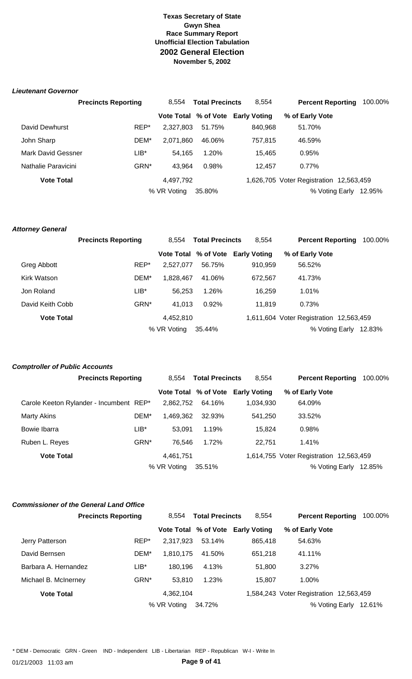#### *Lieutenant Governor*

| <b>Precincts Reporting</b> |         | 8.554       | <b>Total Precincts</b> |                                   | 8.554<br><b>Percent Reporting</b>       |        |
|----------------------------|---------|-------------|------------------------|-----------------------------------|-----------------------------------------|--------|
|                            |         |             |                        | Vote Total % of Vote Early Voting | % of Early Vote                         |        |
| David Dewhurst             | REP*    | 2.327.803   | 51.75%                 | 840,968                           | 51.70%                                  |        |
| John Sharp                 | DEM*    | 2.071.860   | 46.06%                 | 757.815                           | 46.59%                                  |        |
| Mark David Gessner         | $LIB^*$ | 54.165      | 1.20%                  | 15,465                            | 0.95%                                   |        |
| Nathalie Paravicini        | GRN*    | 43.964      | 0.98%                  | 12.457                            | $0.77\%$                                |        |
| <b>Vote Total</b>          |         | 4,497,792   |                        |                                   | 1,626,705 Voter Registration 12,563,459 |        |
|                            |         | % VR Voting | 35.80%                 |                                   | % Voting Early                          | 12.95% |

#### *Attorney General*

|                   | <b>Precincts Reporting</b> | 8,554       | <b>Total Precincts</b> | 8,554                             | <b>Percent Reporting</b>                | 100.00% |
|-------------------|----------------------------|-------------|------------------------|-----------------------------------|-----------------------------------------|---------|
|                   |                            |             |                        | Vote Total % of Vote Early Voting | % of Early Vote                         |         |
| Greg Abbott       | REP*                       | 2.527.077   | 56.75%                 | 910,959                           | 56.52%                                  |         |
| Kirk Watson       | DEM*                       | 1.828.467   | 41.06%                 | 672,567                           | 41.73%                                  |         |
| Jon Roland        | LIB*                       | 56.253      | 1.26%                  | 16,259                            | $1.01\%$                                |         |
| David Keith Cobb  | GRN*                       | 41.013      | 0.92%                  | 11.819                            | 0.73%                                   |         |
| <b>Vote Total</b> |                            | 4,452,810   |                        |                                   | 1,611,604 Voter Registration 12,563,459 |         |
|                   |                            | % VR Voting | 35.44%                 |                                   | % Voting Early                          | 12.83%  |

# *Comptroller of Public Accounts*

| <b>Precincts Reporting</b>              |                  | 8.554       | <b>Total Precincts</b> | 8,554                             | <b>Percent Reporting</b>                | 100.00% |  |
|-----------------------------------------|------------------|-------------|------------------------|-----------------------------------|-----------------------------------------|---------|--|
|                                         |                  |             |                        | Vote Total % of Vote Early Voting | % of Early Vote                         |         |  |
| Carole Keeton Rylander - Incumbent REP* |                  | 2,862,752   | 64.16%                 | 1,034,930                         | 64.09%                                  |         |  |
| <b>Marty Akins</b>                      | DEM*             | 1.469.362   | 32.93%                 | 541,250                           | 33.52%                                  |         |  |
| Bowie Ibarra                            | $LIB*$           | 53.091      | 1.19%                  | 15,824                            | 0.98%                                   |         |  |
| Ruben L. Reyes                          | GRN <sup>*</sup> | 76.546      | 1.72%                  | 22.751                            | 1.41%                                   |         |  |
| <b>Vote Total</b>                       |                  | 4,461,751   |                        |                                   | 1,614,755 Voter Registration 12,563,459 |         |  |
|                                         |                  | % VR Voting | 35.51%                 |                                   | % Voting Early                          | 12.85%  |  |

# *Commissioner of the General Land Office*

|                      | <b>Precincts Reporting</b> |        | <b>Total Precincts</b><br>8.554 |        | 8.554                             | 100.00%<br><b>Percent Reporting</b>     |        |
|----------------------|----------------------------|--------|---------------------------------|--------|-----------------------------------|-----------------------------------------|--------|
|                      |                            |        |                                 |        | Vote Total % of Vote Early Voting | % of Early Vote                         |        |
| Jerry Patterson      |                            | REP*   | 2,317,923                       | 53.14% | 865.418                           | 54.63%                                  |        |
| David Bernsen        |                            | DEM*   | 1.810.175                       | 41.50% | 651.218                           | 41.11%                                  |        |
| Barbara A. Hernandez |                            | $LIB*$ | 180.196                         | 4.13%  | 51.800                            | 3.27%                                   |        |
| Michael B. McInerney |                            | GRN*   | 53.810                          | 1.23%  | 15.807                            | $1.00\%$                                |        |
| <b>Vote Total</b>    |                            |        | 4,362,104                       |        |                                   | 1,584,243 Voter Registration 12,563,459 |        |
|                      |                            |        | % VR Voting                     | 34.72% |                                   | % Voting Early                          | 12.61% |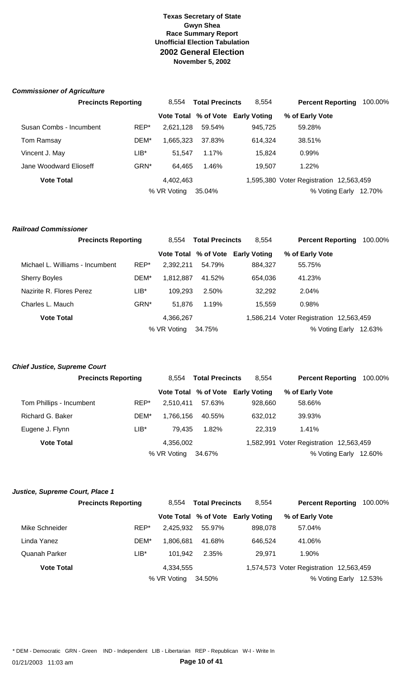#### *Commissioner of Agriculture*

| <b>Precincts Reporting</b> |                  | <b>Total Precincts</b><br>8.554 |        | 8,554                             | <b>Percent Reporting</b>                |        |
|----------------------------|------------------|---------------------------------|--------|-----------------------------------|-----------------------------------------|--------|
|                            |                  |                                 |        | Vote Total % of Vote Early Voting | % of Early Vote                         |        |
| Susan Combs - Incumbent    | REP*             | 2.621.128                       | 59.54% | 945,725                           | 59.28%                                  |        |
| Tom Ramsay                 | DEM*             | 1.665.323                       | 37.83% | 614.324                           | 38.51%                                  |        |
| Vincent J. May             | $LIB^*$          | 51.547                          | 1.17%  | 15.824                            | 0.99%                                   |        |
| Jane Woodward Elioseff     | GRN <sup>*</sup> | 64.465                          | 1.46%  | 19.507                            | 1.22%                                   |        |
| <b>Vote Total</b>          |                  | 4,402,463                       |        |                                   | 1,595,380 Voter Registration 12,563,459 |        |
|                            |                  | % VR Voting                     | 35.04% |                                   | % Voting Early                          | 12.70% |

#### *Railroad Commissioner*

|                                 | <b>Precincts Reporting</b> |             | <b>Total Precincts</b><br>8.554 |                                   | <b>Percent Reporting</b>                |  | 100.00% |
|---------------------------------|----------------------------|-------------|---------------------------------|-----------------------------------|-----------------------------------------|--|---------|
|                                 |                            |             |                                 | Vote Total % of Vote Early Voting | % of Early Vote                         |  |         |
| Michael L. Williams - Incumbent | REP*                       | 2.392.211   | 54.79%                          | 884.327                           | 55.75%                                  |  |         |
| <b>Sherry Boyles</b>            | DEM*                       | 1.812.887   | 41.52%                          | 654,036                           | 41.23%                                  |  |         |
| Nazirite R. Flores Perez        | $LIB^*$                    | 109.293     | 2.50%                           | 32,292                            | 2.04%                                   |  |         |
| Charles L. Mauch                | GRN*                       | 51.876      | 1.19%                           | 15,559                            | 0.98%                                   |  |         |
| <b>Vote Total</b>               |                            | 4,366,267   |                                 |                                   | 1,586,214 Voter Registration 12,563,459 |  |         |
|                                 |                            | % VR Voting | 34.75%                          |                                   | % Voting Early                          |  | 12.63%  |

| <b>Chief Justice, Supreme Court</b> |                            |             |                                 |                                   |                                         |         |
|-------------------------------------|----------------------------|-------------|---------------------------------|-----------------------------------|-----------------------------------------|---------|
|                                     | <b>Precincts Reporting</b> |             | <b>Total Precincts</b><br>8.554 |                                   | <b>Percent Reporting</b>                | 100.00% |
|                                     |                            |             |                                 | Vote Total % of Vote Early Voting | % of Early Vote                         |         |
| Tom Phillips - Incumbent            | REP*                       | 2.510.411   | 57.63%                          | 928,660                           | 58.66%                                  |         |
| Richard G. Baker                    | DEM*                       | 1.766.156   | 40.55%                          | 632.012                           | 39.93%                                  |         |
| Eugene J. Flynn                     | $LIB*$                     | 79.435      | 1.82%                           | 22,319                            | 1.41%                                   |         |
| <b>Vote Total</b>                   |                            | 4,356,002   |                                 |                                   | 1,582,991 Voter Registration 12,563,459 |         |
|                                     |                            | % VR Voting | 34.67%                          |                                   | % Voting Early                          | 12.60%  |

| Justice, Supreme Court, Place 1 |                            |             |                        |                                   |                                         |         |
|---------------------------------|----------------------------|-------------|------------------------|-----------------------------------|-----------------------------------------|---------|
|                                 | <b>Precincts Reporting</b> | 8.554       | <b>Total Precincts</b> |                                   | <b>Percent Reporting</b>                | 100.00% |
|                                 |                            |             |                        | Vote Total % of Vote Early Voting | % of Early Vote                         |         |
| Mike Schneider                  | REP*                       | 2.425.932   | 55.97%                 | 898,078                           | 57.04%                                  |         |
| Linda Yanez                     | DEM*                       | 1.806.681   | 41.68%                 | 646.524                           | 41.06%                                  |         |
| Quanah Parker                   | $LIB*$                     | 101.942     | 2.35%                  | 29.971                            | 1.90%                                   |         |
| <b>Vote Total</b>               |                            | 4,334,555   |                        |                                   | 1,574,573 Voter Registration 12,563,459 |         |
|                                 |                            | % VR Voting | 34.50%                 |                                   | % Voting Early                          | 12.53%  |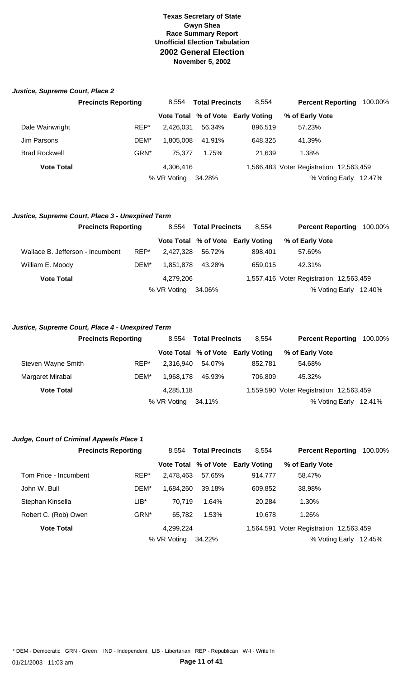## *Justice, Supreme Court, Place 2*

|                      | <b>Precincts Reporting</b> | 8.554       | <b>Total Precincts</b> | 8.554                             | <b>Percent Reporting</b>                | 100.00%               |
|----------------------|----------------------------|-------------|------------------------|-----------------------------------|-----------------------------------------|-----------------------|
|                      |                            |             |                        | Vote Total % of Vote Early Voting | % of Early Vote                         |                       |
| Dale Wainwright      | REP*                       | 2.426.031   | 56.34%                 | 896.519                           | 57.23%                                  |                       |
| Jim Parsons          | DEM*                       | 1.805.008   | 41.91%                 | 648.325                           | 41.39%                                  |                       |
| <b>Brad Rockwell</b> | GRN <sup>*</sup>           | 75.377      | 1.75%                  | 21.639                            | 1.38%                                   |                       |
| <b>Vote Total</b>    |                            | 4,306,416   |                        |                                   | 1,566,483 Voter Registration 12,563,459 |                       |
|                      |                            | % VR Voting | 34.28%                 |                                   |                                         | % Voting Early 12.47% |

## *Justice, Supreme Court, Place 3 - Unexpired Term*

|                                  | <b>Precincts Reporting</b> |             | 8.554 Total Precincts |                                   | <b>Percent Reporting</b>                | 100.00%               |
|----------------------------------|----------------------------|-------------|-----------------------|-----------------------------------|-----------------------------------------|-----------------------|
|                                  |                            |             |                       | Vote Total % of Vote Early Voting | % of Early Vote                         |                       |
| Wallace B. Jefferson - Incumbent | REP*                       | 2.427.328   | 56.72%                | 898.401                           | 57.69%                                  |                       |
| William E. Moody                 | DEM*                       | 1.851.878   | 43.28%                | 659.015                           | 42.31%                                  |                       |
| <b>Vote Total</b>                |                            | 4,279,206   |                       |                                   | 1,557,416 Voter Registration 12,563,459 |                       |
|                                  |                            | % VR Voting | 34.06%                |                                   |                                         | % Voting Early 12.40% |

#### *Justice, Supreme Court, Place 4 - Unexpired Term*

|                    | <b>Precincts Reporting</b> |             | <b>Total Precincts</b><br>8.554 |                                   | <b>Percent Reporting</b>                | 100.00% |
|--------------------|----------------------------|-------------|---------------------------------|-----------------------------------|-----------------------------------------|---------|
|                    |                            |             |                                 | Vote Total % of Vote Early Voting | % of Early Vote                         |         |
| Steven Wayne Smith | REP*                       | 2.316.940   | 54.07%                          | 852.781                           | 54.68%                                  |         |
| Margaret Mirabal   | DEM*                       | 1.968.178   | 45.93%                          | 706.809                           | 45.32%                                  |         |
| <b>Vote Total</b>  |                            | 4,285,118   |                                 |                                   | 1,559,590 Voter Registration 12,563,459 |         |
|                    |                            | % VR Voting | 34.11%                          |                                   | % Voting Early 12.41%                   |         |

### *Judge, Court of Criminal Appeals Place 1*

|                       | <b>Precincts Reporting</b> |                  | 8.554<br><b>Total Precincts</b> |        | 8,554                             | <b>Percent Reporting</b>                |  | 100.00% |
|-----------------------|----------------------------|------------------|---------------------------------|--------|-----------------------------------|-----------------------------------------|--|---------|
|                       |                            |                  |                                 |        | Vote Total % of Vote Early Voting | % of Early Vote                         |  |         |
| Tom Price - Incumbent |                            | REP*             | 2,478,463                       | 57.65% | 914,777                           | 58.47%                                  |  |         |
| John W. Bull          |                            | DEM*             | 1.684.260                       | 39.18% | 609,852                           | 38.98%                                  |  |         |
| Stephan Kinsella      |                            | $LIB^*$          | 70.719                          | 1.64%  | 20.284                            | 1.30%                                   |  |         |
| Robert C. (Rob) Owen  |                            | GRN <sup>*</sup> | 65.782                          | 1.53%  | 19.678                            | 1.26%                                   |  |         |
| <b>Vote Total</b>     |                            |                  | 4,299,224                       |        |                                   | 1,564,591 Voter Registration 12,563,459 |  |         |
|                       |                            |                  | % VR Voting                     | 34.22% |                                   | % Voting Early                          |  | 12.45%  |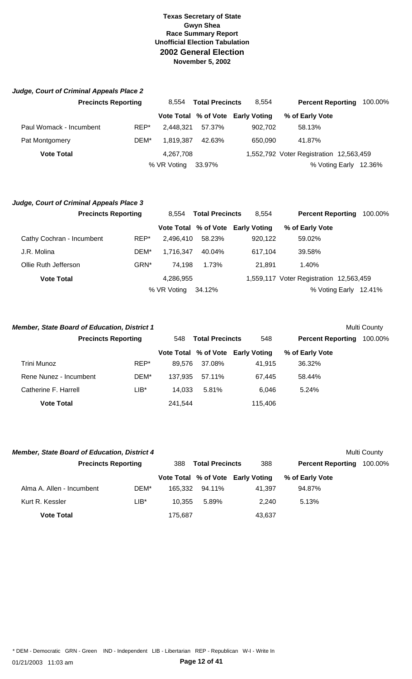| Judge, Court of Criminal Appeals Place 2 |                            |      |                                 |        |                                   |                                         |         |
|------------------------------------------|----------------------------|------|---------------------------------|--------|-----------------------------------|-----------------------------------------|---------|
|                                          | <b>Precincts Reporting</b> |      | <b>Total Precincts</b><br>8.554 |        | 8.554                             | <b>Percent Reporting</b>                | 100.00% |
|                                          |                            |      |                                 |        | Vote Total % of Vote Early Voting | % of Early Vote                         |         |
| Paul Womack - Incumbent                  |                            | REP* | 2.448.321                       | 57.37% | 902.702                           | 58.13%                                  |         |
| Pat Montgomery                           |                            | DEM* | 1.819.387                       | 42.63% | 650.090                           | 41.87%                                  |         |
| <b>Vote Total</b>                        |                            |      | 4,267,708                       |        |                                   | 1,552,792 Voter Registration 12,563,459 |         |
|                                          |                            |      | % VR Voting                     | 33.97% |                                   | % Voting Early                          | 12.36%  |

# *Judge, Court of Criminal Appeals Place 3*

|                           | <b>Precincts Reporting</b> | 8.554       | <b>Total Precincts</b> |                                   | <b>Percent Reporting</b>                | 100.00%               |
|---------------------------|----------------------------|-------------|------------------------|-----------------------------------|-----------------------------------------|-----------------------|
|                           |                            |             |                        | Vote Total % of Vote Early Voting | % of Early Vote                         |                       |
| Cathy Cochran - Incumbent | REP*                       | 2.496.410   | 58.23%                 | 920.122                           | 59.02%                                  |                       |
| J.R. Molina               | DEM*                       | 1.716.347   | 40.04%                 | 617.104                           | 39.58%                                  |                       |
| Ollie Ruth Jefferson      | GRN*                       | 74.198      | 1.73%                  | 21.891                            | 1.40%                                   |                       |
| <b>Vote Total</b>         |                            | 4,286,955   |                        |                                   | 1,559,117 Voter Registration 12,563,459 |                       |
|                           |                            | % VR Voting | 34.12%                 |                                   |                                         | % Voting Early 12.41% |

|                        | <b>Member, State Board of Education, District 1</b> |                               |        |                                   |                          | Multi County |
|------------------------|-----------------------------------------------------|-------------------------------|--------|-----------------------------------|--------------------------|--------------|
|                        | <b>Precincts Reporting</b>                          | <b>Total Precincts</b><br>548 |        | 548                               | <b>Percent Reporting</b> | 100.00%      |
|                        |                                                     |                               |        | Vote Total % of Vote Early Voting | % of Early Vote          |              |
| Trini Munoz            | REP*                                                | 89.576                        | 37.08% | 41.915                            | 36.32%                   |              |
| Rene Nunez - Incumbent | DEM*                                                | 137.935                       | 57.11% | 67.445                            | 58.44%                   |              |
| Catherine F. Harrell   | $LIB^*$                                             | 14.033                        | 5.81%  | 6.046                             | 5.24%                    |              |
| <b>Vote Total</b>      |                                                     | 241.544                       |        | 115.406                           |                          |              |

| <b>Member, State Board of Education, District 4</b> |                            |        |         |                               |                                   |                          | Multi County |
|-----------------------------------------------------|----------------------------|--------|---------|-------------------------------|-----------------------------------|--------------------------|--------------|
|                                                     | <b>Precincts Reporting</b> |        |         | <b>Total Precincts</b><br>388 |                                   | <b>Percent Reporting</b> | 100.00%      |
|                                                     |                            |        |         |                               | Vote Total % of Vote Early Voting | % of Early Vote          |              |
| Alma A. Allen - Incumbent                           |                            | DEM*   | 165.332 | 94.11%                        | 41.397                            | 94.87%                   |              |
| Kurt R. Kessler                                     |                            | $LIB*$ | 10.355  | 5.89%                         | 2.240                             | 5.13%                    |              |
| <b>Vote Total</b>                                   |                            |        | 175.687 |                               | 43,637                            |                          |              |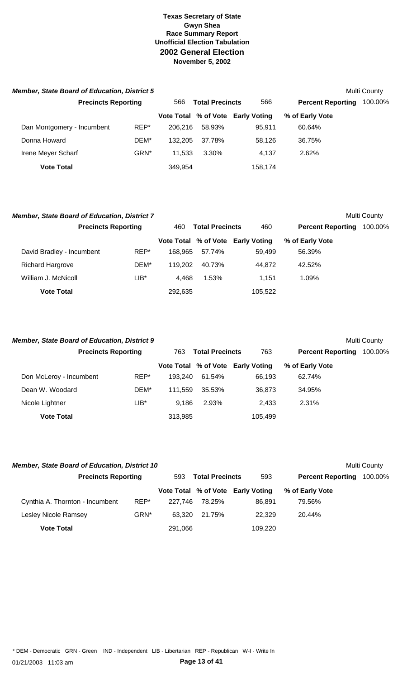| <b>Member, State Board of Education, District 5</b> |                            |      |                               |        |                                   |                          | Multi County |
|-----------------------------------------------------|----------------------------|------|-------------------------------|--------|-----------------------------------|--------------------------|--------------|
|                                                     | <b>Precincts Reporting</b> |      | <b>Total Precincts</b><br>566 |        | 566                               | <b>Percent Reporting</b> | 100.00%      |
|                                                     |                            |      |                               |        | Vote Total % of Vote Early Voting | % of Early Vote          |              |
| Dan Montgomery - Incumbent                          |                            | REP* | 206.216                       | 58.93% | 95.911                            | 60.64%                   |              |
| Donna Howard                                        |                            | DEM* | 132.205                       | 37.78% | 58.126                            | 36.75%                   |              |
| Irene Meyer Scharf                                  |                            | GRN* | 11.533                        | 3.30%  | 4.137                             | 2.62%                    |              |
| <b>Vote Total</b>                                   |                            |      | 349.954                       |        | 158,174                           |                          |              |

| <b>Member, State Board of Education, District 7</b> |                            |         |                               |                                   |                          | Multi County |
|-----------------------------------------------------|----------------------------|---------|-------------------------------|-----------------------------------|--------------------------|--------------|
|                                                     | <b>Precincts Reporting</b> |         | <b>Total Precincts</b><br>460 |                                   | <b>Percent Reporting</b> | 100.00%      |
|                                                     |                            |         |                               | Vote Total % of Vote Early Voting | % of Early Vote          |              |
| David Bradley - Incumbent                           | REP*                       | 168.965 | 57.74%                        | 59.499                            | 56.39%                   |              |
| <b>Richard Hargrove</b>                             | DEM*                       | 119,202 | 40.73%                        | 44.872                            | 42.52%                   |              |
| William J. McNicoll                                 | LIB*                       | 4.468   | 1.53%                         | 1.151                             | 1.09%                    |              |
| <b>Vote Total</b>                                   |                            | 292,635 |                               | 105,522                           |                          |              |

| <b>Member, State Board of Education, District 9</b> |                            | <b>Multi County</b> |                               |                                   |                          |         |
|-----------------------------------------------------|----------------------------|---------------------|-------------------------------|-----------------------------------|--------------------------|---------|
|                                                     | <b>Precincts Reporting</b> |                     | <b>Total Precincts</b><br>763 |                                   | <b>Percent Reporting</b> | 100.00% |
|                                                     |                            |                     |                               | Vote Total % of Vote Early Voting | % of Early Vote          |         |
| Don McLeroy - Incumbent                             | REP*                       | 193.240             | 61.54%                        | 66.193                            | 62.74%                   |         |
| Dean W. Woodard                                     | DEM*                       | 111.559             | 35.53%                        | 36,873                            | 34.95%                   |         |
| Nicole Lightner                                     | $LIB^*$                    | 9.186               | 2.93%                         | 2.433                             | 2.31%                    |         |
| <b>Vote Total</b>                                   |                            | 313.985             |                               | 105.499                           |                          |         |

| <b>Member, State Board of Education, District 10</b> |                            |      |                               |        |                                   |                          | Multi County |
|------------------------------------------------------|----------------------------|------|-------------------------------|--------|-----------------------------------|--------------------------|--------------|
|                                                      | <b>Precincts Reporting</b> |      | <b>Total Precincts</b><br>593 |        | 593                               | <b>Percent Reporting</b> | 100.00%      |
|                                                      |                            |      |                               |        | Vote Total % of Vote Early Voting | % of Early Vote          |              |
| Cynthia A. Thornton - Incumbent                      |                            | REP* | 227.746                       | 78.25% | 86.891                            | 79.56%                   |              |
| Lesley Nicole Ramsey                                 |                            | GRN* | 63.320                        | 21.75% | 22.329                            | 20.44%                   |              |
| <b>Vote Total</b>                                    |                            |      | 291.066                       |        | 109,220                           |                          |              |

01/21/2003 11:03 am \* DEM - Democratic GRN - Green IND - Independent LIB - Libertarian REP - Republican W-I - Write In **Page 13 of 41**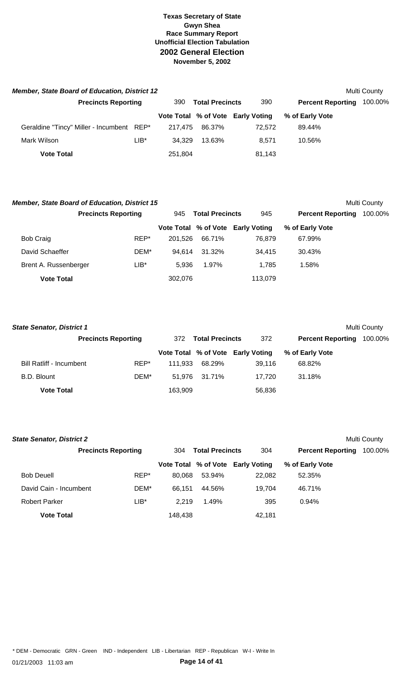| <b>Member, State Board of Education, District 12</b><br>Multi County |                            |         |                               |                                   |                          |         |  |  |  |
|----------------------------------------------------------------------|----------------------------|---------|-------------------------------|-----------------------------------|--------------------------|---------|--|--|--|
|                                                                      | <b>Precincts Reporting</b> |         | <b>Total Precincts</b><br>390 |                                   | <b>Percent Reporting</b> | 100.00% |  |  |  |
|                                                                      |                            |         |                               | Vote Total % of Vote Early Voting | % of Early Vote          |         |  |  |  |
| Geraldine "Tincy" Miller - Incumbent REP*                            |                            | 217.475 | 86.37%                        | 72.572                            | 89.44%                   |         |  |  |  |
| Mark Wilson                                                          | $LIB^*$                    | 34.329  | 13.63%                        | 8.571                             | 10.56%                   |         |  |  |  |
| <b>Vote Total</b>                                                    |                            | 251.804 |                               | 81,143                            |                          |         |  |  |  |

| <b>Member, State Board of Education, District 15</b> |                            |         |                               |        |                                   |                          | Multi County |
|------------------------------------------------------|----------------------------|---------|-------------------------------|--------|-----------------------------------|--------------------------|--------------|
|                                                      | <b>Precincts Reporting</b> |         | <b>Total Precincts</b><br>945 |        | 945                               | <b>Percent Reporting</b> | 100.00%      |
|                                                      |                            |         |                               |        | Vote Total % of Vote Early Voting | % of Early Vote          |              |
| <b>Bob Craig</b>                                     |                            | REP*    | 201.526                       | 66.71% | 76.879                            | 67.99%                   |              |
| David Schaeffer                                      |                            | DEM*    | 94.614                        | 31.32% | 34.415                            | 30.43%                   |              |
| Brent A. Russenberger                                |                            | $LIB^*$ | 5.936                         | 1.97%  | 1.785                             | 1.58%                    |              |
| <b>Vote Total</b>                                    |                            |         | 302.076                       |        | 113.079                           |                          |              |

| <b>State Senator, District 1</b> |                            |         |                     |                                   |                          | Multi County |
|----------------------------------|----------------------------|---------|---------------------|-----------------------------------|--------------------------|--------------|
|                                  | <b>Precincts Reporting</b> |         | 372 Total Precincts |                                   | <b>Percent Reporting</b> | 100.00%      |
|                                  |                            |         |                     | Vote Total % of Vote Early Voting | % of Early Vote          |              |
| Bill Ratliff - Incumbent         | REP*                       | 111.933 | 68.29%              | 39.116                            | 68.82%                   |              |
| <b>B.D. Blount</b>               | DEM*                       | 51.976  | 31.71%              | 17.720                            | 31.18%                   |              |
| <b>Vote Total</b>                |                            | 163,909 |                     | 56,836                            |                          |              |

| <b>State Senator, District 2</b> |                            |        |                               |        |                                   |                          | Multi County |
|----------------------------------|----------------------------|--------|-------------------------------|--------|-----------------------------------|--------------------------|--------------|
|                                  | <b>Precincts Reporting</b> |        | 304<br><b>Total Precincts</b> |        | 304                               | <b>Percent Reporting</b> | 100.00%      |
|                                  |                            |        |                               |        | Vote Total % of Vote Early Voting | % of Early Vote          |              |
| <b>Bob Deuell</b>                |                            | REP*   | 80.068                        | 53.94% | 22,082                            | 52.35%                   |              |
| David Cain - Incumbent           |                            | DEM*   | 66.151                        | 44.56% | 19.704                            | 46.71%                   |              |
| <b>Robert Parker</b>             |                            | $LIB*$ | 2.219                         | 1.49%  | 395                               | 0.94%                    |              |
| <b>Vote Total</b>                |                            |        | 148.438                       |        | 42.181                            |                          |              |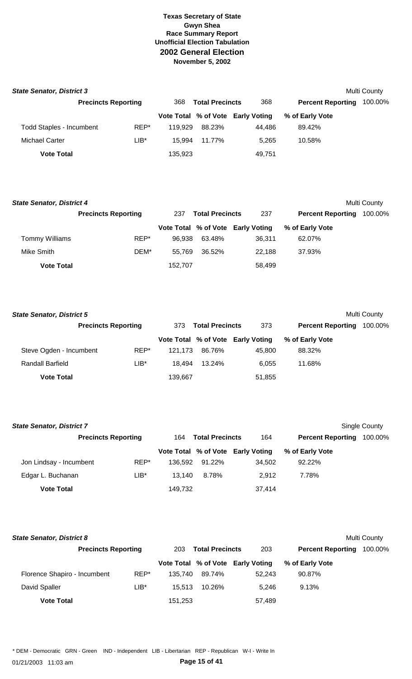| <b>State Senator, District 3</b> |                            |      |                               |        |                                   |                          | Multi County |
|----------------------------------|----------------------------|------|-------------------------------|--------|-----------------------------------|--------------------------|--------------|
|                                  | <b>Precincts Reporting</b> |      | <b>Total Precincts</b><br>368 |        | 368                               | <b>Percent Reporting</b> | 100.00%      |
|                                  |                            |      |                               |        | Vote Total % of Vote Early Voting | % of Early Vote          |              |
| <b>Todd Staples - Incumbent</b>  |                            | REP* | 119.929                       | 88.23% | 44.486                            | 89.42%                   |              |
| Michael Carter                   |                            | LIB* | 15.994                        | 11.77% | 5.265                             | 10.58%                   |              |
| <b>Vote Total</b>                |                            |      | 135,923                       |        | 49,751                            |                          |              |

| <b>State Senator, District 4</b> |                            |         |                        |                                   |                          | Multi County |
|----------------------------------|----------------------------|---------|------------------------|-----------------------------------|--------------------------|--------------|
|                                  | <b>Precincts Reporting</b> | 237     | <b>Total Precincts</b> |                                   | <b>Percent Reporting</b> | 100.00%      |
|                                  |                            |         |                        | Vote Total % of Vote Early Voting | % of Early Vote          |              |
| Tommy Williams                   | REP*                       | 96.938  | 63.48%                 | 36.311                            | 62.07%                   |              |
| Mike Smith                       | DEM*                       | 55.769  | 36.52%                 | 22.188                            | 37.93%                   |              |
| <b>Vote Total</b>                |                            | 152,707 |                        | 58,499                            |                          |              |

| <b>State Senator, District 5</b> |                            |         |                               |        |                                   |                          | <b>Multi County</b> |
|----------------------------------|----------------------------|---------|-------------------------------|--------|-----------------------------------|--------------------------|---------------------|
|                                  | <b>Precincts Reporting</b> |         | 373<br><b>Total Precincts</b> |        | 373                               | <b>Percent Reporting</b> | 100.00%             |
|                                  |                            |         |                               |        | Vote Total % of Vote Early Voting | % of Early Vote          |                     |
| Steve Ogden - Incumbent          |                            | REP*    | 121.173                       | 86.76% | 45.800                            | 88.32%                   |                     |
| Randall Barfield                 |                            | $LIB^*$ | 18.494                        | 13.24% | 6.055                             | 11.68%                   |                     |
| <b>Vote Total</b>                |                            |         | 139,667                       |        | 51,855                            |                          |                     |

| <b>State Senator, District 7</b> |                            |                               |        |                                   |                          | Single County |
|----------------------------------|----------------------------|-------------------------------|--------|-----------------------------------|--------------------------|---------------|
|                                  | <b>Precincts Reporting</b> | <b>Total Precincts</b><br>164 |        | 164                               | <b>Percent Reporting</b> | 100.00%       |
|                                  |                            |                               |        | Vote Total % of Vote Early Voting | % of Early Vote          |               |
| Jon Lindsay - Incumbent          | REP*                       | 136.592                       | 91.22% | 34.502                            | 92.22%                   |               |
| Edgar L. Buchanan                | LIB*                       | 13.140                        | 8.78%  | 2.912                             | 7.78%                    |               |
| <b>Vote Total</b>                |                            | 149,732                       |        | 37,414                            |                          |               |

| <b>State Senator, District 8</b> |                            |      |         |                        |                                   |                          | Multi County |
|----------------------------------|----------------------------|------|---------|------------------------|-----------------------------------|--------------------------|--------------|
|                                  | <b>Precincts Reporting</b> |      | 203     | <b>Total Precincts</b> |                                   | <b>Percent Reporting</b> | 100.00%      |
|                                  |                            |      |         |                        | Vote Total % of Vote Early Voting | % of Early Vote          |              |
| Florence Shapiro - Incumbent     |                            | REP* | 135.740 | 89.74%                 | 52.243                            | 90.87%                   |              |
| David Spaller                    |                            | LIB* | 15.513  | 10.26%                 | 5.246                             | 9.13%                    |              |
| <b>Vote Total</b>                |                            |      | 151.253 |                        | 57,489                            |                          |              |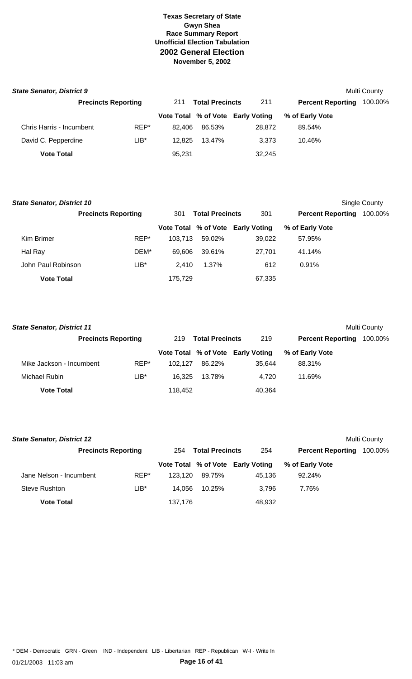| <b>State Senator, District 9</b> |                            |        |        |                        |                                   |                          | Multi County |
|----------------------------------|----------------------------|--------|--------|------------------------|-----------------------------------|--------------------------|--------------|
|                                  | <b>Precincts Reporting</b> |        | 211    | <b>Total Precincts</b> | 211                               | <b>Percent Reporting</b> | 100.00%      |
|                                  |                            |        |        |                        | Vote Total % of Vote Early Voting | % of Early Vote          |              |
| Chris Harris - Incumbent         |                            | REP*   | 82.406 | 86.53%                 | 28,872                            | 89.54%                   |              |
| David C. Pepperdine              |                            | $LIB*$ | 12.825 | 13.47%                 | 3.373                             | 10.46%                   |              |
| <b>Vote Total</b>                |                            |        | 95,231 |                        | 32,245                            |                          |              |

| <b>State Senator, District 10</b> |                            |         |                        |                                   |                          | Single County |
|-----------------------------------|----------------------------|---------|------------------------|-----------------------------------|--------------------------|---------------|
|                                   | <b>Precincts Reporting</b> | 301     | <b>Total Precincts</b> |                                   | <b>Percent Reporting</b> | 100.00%       |
|                                   |                            |         |                        | Vote Total % of Vote Early Voting | % of Early Vote          |               |
| Kim Brimer                        | REP*                       | 103.713 | 59.02%                 | 39.022                            | 57.95%                   |               |
| Hal Ray                           | DEM*                       | 69.606  | 39.61%                 | 27.701                            | 41.14%                   |               |
| John Paul Robinson                | $LIB*$                     | 2.410   | 1.37%                  | 612                               | $0.91\%$                 |               |
| <b>Vote Total</b>                 |                            | 175.729 |                        | 67,335                            |                          |               |

| <b>State Senator, District 11</b> |                            |         |                               |                                   |                          | Multi County |
|-----------------------------------|----------------------------|---------|-------------------------------|-----------------------------------|--------------------------|--------------|
|                                   | <b>Precincts Reporting</b> |         | <b>Total Precincts</b><br>219 |                                   | <b>Percent Reporting</b> | 100.00%      |
|                                   |                            |         |                               | Vote Total % of Vote Early Voting | % of Early Vote          |              |
| Mike Jackson - Incumbent          | REP*                       | 102.127 | 86.22%                        | 35.644                            | 88.31%                   |              |
| Michael Rubin                     | $LIB^*$                    | 16.325  | 13.78%                        | 4.720                             | 11.69%                   |              |
| <b>Vote Total</b>                 |                            | 118.452 |                               | 40,364                            |                          |              |

| <b>State Senator, District 12</b><br>Multi County |                            |      |                               |        |                                   |                          |  |  |  |
|---------------------------------------------------|----------------------------|------|-------------------------------|--------|-----------------------------------|--------------------------|--|--|--|
|                                                   | <b>Precincts Reporting</b> |      | 254<br><b>Total Precincts</b> |        | 254                               | <b>Percent Reporting</b> |  |  |  |
|                                                   |                            |      |                               |        | Vote Total % of Vote Early Voting | % of Early Vote          |  |  |  |
| Jane Nelson - Incumbent                           |                            | REP* | 123.120                       | 89.75% | 45.136                            | 92.24%                   |  |  |  |
| Steve Rushton                                     | $LIB*$                     |      | 14.056                        | 10.25% | 3.796                             | 7.76%                    |  |  |  |
| <b>Vote Total</b>                                 |                            |      | 137.176                       |        | 48,932                            |                          |  |  |  |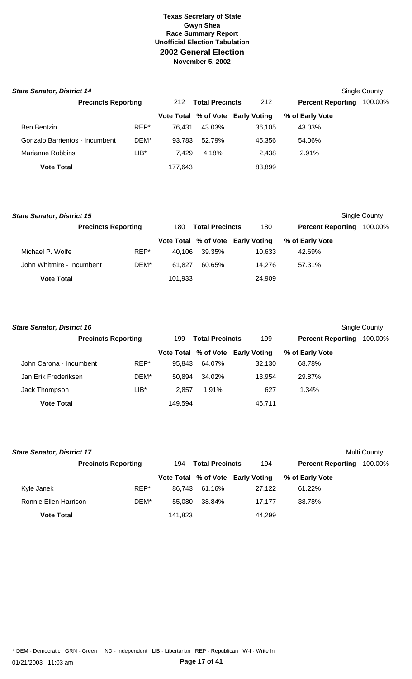| <b>State Senator, District 14</b> |                            |        |                               |        |                                   |                          | Single County |
|-----------------------------------|----------------------------|--------|-------------------------------|--------|-----------------------------------|--------------------------|---------------|
|                                   | <b>Precincts Reporting</b> |        | <b>Total Precincts</b><br>212 |        | 212                               | <b>Percent Reporting</b> | 100.00%       |
|                                   |                            |        |                               |        | Vote Total % of Vote Early Voting | % of Early Vote          |               |
| <b>Ben Bentzin</b>                |                            | REP*   | 76.431                        | 43.03% | 36.105                            | 43.03%                   |               |
| Gonzalo Barrientos - Incumbent    |                            | DEM*   | 93.783                        | 52.79% | 45,356                            | 54.06%                   |               |
| Marianne Robbins                  |                            | $LIB*$ | 7.429                         | 4.18%  | 2.438                             | 2.91%                    |               |
| <b>Vote Total</b>                 |                            |        | 177.643                       |        | 83,899                            |                          |               |

| <b>State Senator, District 15</b> |                            |                               |        |                                   |                          | Single County |
|-----------------------------------|----------------------------|-------------------------------|--------|-----------------------------------|--------------------------|---------------|
|                                   | <b>Precincts Reporting</b> | <b>Total Precincts</b><br>180 |        | 180                               | <b>Percent Reporting</b> | 100.00%       |
|                                   |                            |                               |        | Vote Total % of Vote Early Voting | % of Early Vote          |               |
| Michael P. Wolfe                  | REP*                       | 40.106                        | 39.35% | 10.633                            | 42.69%                   |               |
| John Whitmire - Incumbent         | DEM*                       | 61.827                        | 60.65% | 14.276                            | 57.31%                   |               |
| <b>Vote Total</b>                 |                            | 101,933                       |        | 24,909                            |                          |               |

| <b>State Senator, District 16</b> |                            |         |                               |                                   |                          | <b>Single County</b> |
|-----------------------------------|----------------------------|---------|-------------------------------|-----------------------------------|--------------------------|----------------------|
|                                   | <b>Precincts Reporting</b> |         | <b>Total Precincts</b><br>199 |                                   | <b>Percent Reporting</b> | 100.00%              |
|                                   |                            |         |                               | Vote Total % of Vote Early Voting | % of Early Vote          |                      |
| John Carona - Incumbent           | REP*                       | 95.843  | 64.07%                        | 32.130                            | 68.78%                   |                      |
| Jan Erik Frederiksen              | DEM*                       | 50.894  | 34.02%                        | 13.954                            | 29.87%                   |                      |
| Jack Thompson                     | $LIB*$                     | 2.857   | 1.91%                         | 627                               | 1.34%                    |                      |
| <b>Vote Total</b>                 |                            | 149.594 |                               | 46,711                            |                          |                      |

| <b>State Senator, District 17</b><br>Multi County |                            |         |                        |                                   |                          |         |  |  |  |
|---------------------------------------------------|----------------------------|---------|------------------------|-----------------------------------|--------------------------|---------|--|--|--|
|                                                   | <b>Precincts Reporting</b> | 194     | <b>Total Precincts</b> |                                   | <b>Percent Reporting</b> | 100.00% |  |  |  |
|                                                   |                            |         |                        | Vote Total % of Vote Early Voting | % of Early Vote          |         |  |  |  |
| Kyle Janek                                        | REP*                       | 86.743  | 61.16%                 | 27.122                            | 61.22%                   |         |  |  |  |
| Ronnie Ellen Harrison                             | DEM*                       | 55.080  | 38.84%                 | 17.177                            | 38.78%                   |         |  |  |  |
| <b>Vote Total</b>                                 |                            | 141.823 |                        | 44,299                            |                          |         |  |  |  |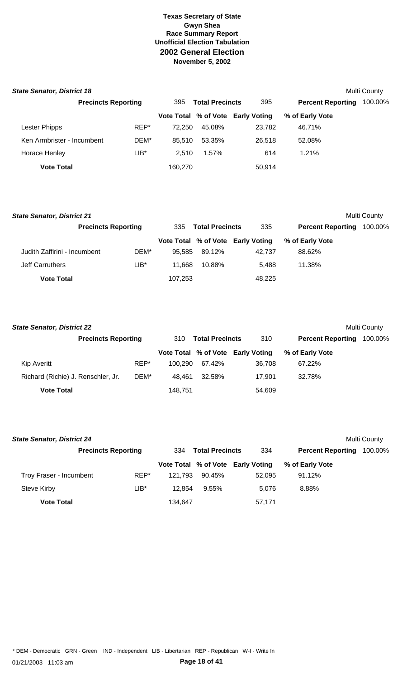| <b>State Senator, District 18</b> |                            |      |                               |        |                                   |                          | Multi County |
|-----------------------------------|----------------------------|------|-------------------------------|--------|-----------------------------------|--------------------------|--------------|
|                                   | <b>Precincts Reporting</b> |      | <b>Total Precincts</b><br>395 |        | 395                               | <b>Percent Reporting</b> | 100.00%      |
|                                   |                            |      |                               |        | Vote Total % of Vote Early Voting | % of Early Vote          |              |
| Lester Phipps                     |                            | REP* | 72.250                        | 45.08% | 23,782                            | 46.71%                   |              |
| Ken Armbrister - Incumbent        |                            | DEM* | 85.510                        | 53.35% | 26,518                            | 52.08%                   |              |
| Horace Henley                     |                            | LIB* | 2.510                         | 1.57%  | 614                               | 1.21%                    |              |
| <b>Vote Total</b>                 |                            |      | 160,270                       |        | 50,914                            |                          |              |

| <b>State Senator, District 21</b> |                            |         |                               |                                   |                          | Multi County |
|-----------------------------------|----------------------------|---------|-------------------------------|-----------------------------------|--------------------------|--------------|
|                                   | <b>Precincts Reporting</b> |         | <b>Total Precincts</b><br>335 |                                   | <b>Percent Reporting</b> | 100.00%      |
|                                   |                            |         |                               | Vote Total % of Vote Early Voting | % of Early Vote          |              |
| Judith Zaffirini - Incumbent      | DEM*                       | 95.585  | 89.12%                        | 42.737                            | 88.62%                   |              |
| <b>Jeff Carruthers</b>            | $LIB*$                     | 11.668  | 10.88%                        | 5.488                             | 11.38%                   |              |
| <b>Vote Total</b>                 |                            | 107,253 |                               | 48,225                            |                          |              |

| <b>State Senator, District 22</b>  |                            |      |                               |        |                                   |                          | Multi County |
|------------------------------------|----------------------------|------|-------------------------------|--------|-----------------------------------|--------------------------|--------------|
|                                    | <b>Precincts Reporting</b> |      | <b>Total Precincts</b><br>310 |        | 310                               | <b>Percent Reporting</b> | 100.00%      |
|                                    |                            |      |                               |        | Vote Total % of Vote Early Voting | % of Early Vote          |              |
| Kip Averitt                        |                            | REP* | 100.290                       | 67.42% | 36.708                            | 67.22%                   |              |
| Richard (Richie) J. Renschler, Jr. |                            | DEM* | 48.461                        | 32.58% | 17.901                            | 32.78%                   |              |
| <b>Vote Total</b>                  |                            |      | 148,751                       |        | 54,609                            |                          |              |

| <b>State Senator, District 24</b><br>Multi County |                            |         |                        |                                   |                          |         |  |  |  |
|---------------------------------------------------|----------------------------|---------|------------------------|-----------------------------------|--------------------------|---------|--|--|--|
|                                                   | <b>Precincts Reporting</b> |         | <b>Total Precincts</b> | 334                               | <b>Percent Reporting</b> | 100.00% |  |  |  |
|                                                   |                            |         |                        | Vote Total % of Vote Early Voting | % of Early Vote          |         |  |  |  |
| Troy Fraser - Incumbent                           | REP*                       | 121.793 | 90.45%                 | 52.095                            | 91.12%                   |         |  |  |  |
| Steve Kirby                                       | $LIB*$                     | 12.854  | 9.55%                  | 5.076                             | 8.88%                    |         |  |  |  |
| <b>Vote Total</b>                                 |                            | 134,647 |                        | 57,171                            |                          |         |  |  |  |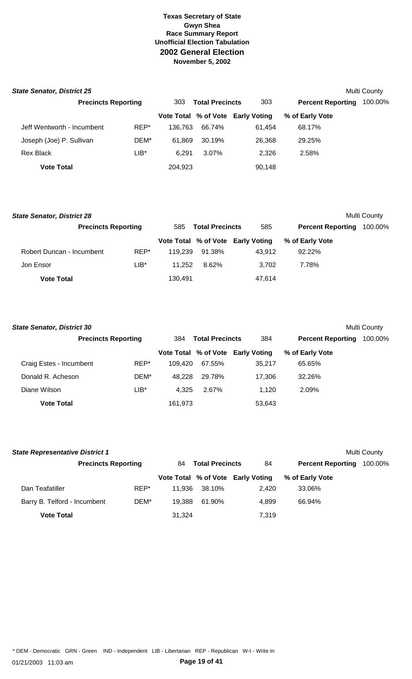| <b>State Senator, District 25</b> |                            |         |                               |                                   |                          | Multi County |
|-----------------------------------|----------------------------|---------|-------------------------------|-----------------------------------|--------------------------|--------------|
|                                   | <b>Precincts Reporting</b> |         | <b>Total Precincts</b><br>303 |                                   | <b>Percent Reporting</b> | 100.00%      |
|                                   |                            |         |                               | Vote Total % of Vote Early Voting | % of Early Vote          |              |
| Jeff Wentworth - Incumbent        | REP*                       | 136.763 | 66.74%                        | 61.454                            | 68.17%                   |              |
| Joseph (Joe) P. Sullivan          | DEM*                       | 61.869  | 30.19%                        | 26.368                            | 29.25%                   |              |
| <b>Rex Black</b>                  | $LIB*$                     | 6.291   | 3.07%                         | 2.326                             | 2.58%                    |              |
| <b>Vote Total</b>                 |                            | 204,923 |                               | 90,148                            |                          |              |

| <b>State Senator, District 28</b> |                            |         |                               |                                   |                          | Multi County |
|-----------------------------------|----------------------------|---------|-------------------------------|-----------------------------------|--------------------------|--------------|
|                                   | <b>Precincts Reporting</b> |         | <b>Total Precincts</b><br>585 |                                   | <b>Percent Reporting</b> | 100.00%      |
|                                   |                            |         |                               | Vote Total % of Vote Early Voting | % of Early Vote          |              |
| Robert Duncan - Incumbent         | REP*                       | 119.239 | 91.38%                        | 43.912                            | 92.22%                   |              |
| Jon Ensor                         | LIB*                       | 11.252  | 8.62%                         | 3.702                             | 7.78%                    |              |
| <b>Vote Total</b>                 |                            | 130.491 |                               | 47.614                            |                          |              |

| <b>State Senator, District 30</b> |                            |         |                               |                                   |                          | <b>Multi County</b> |
|-----------------------------------|----------------------------|---------|-------------------------------|-----------------------------------|--------------------------|---------------------|
|                                   | <b>Precincts Reporting</b> |         | <b>Total Precincts</b><br>384 |                                   | <b>Percent Reporting</b> | 100.00%             |
|                                   |                            |         |                               | Vote Total % of Vote Early Voting | % of Early Vote          |                     |
| Craig Estes - Incumbent           | REP*                       | 109.420 | 67.55%                        | 35.217                            | 65.65%                   |                     |
| Donald R. Acheson                 | DEM*                       | 48.228  | 29.78%                        | 17.306                            | 32.26%                   |                     |
| Diane Wilson                      | $LIB^*$                    | 4.325   | 2.67%                         | 1.120                             | 2.09%                    |                     |
| <b>Vote Total</b>                 |                            | 161.973 |                               | 53,643                            |                          |                     |

| <b>State Representative District 1</b> |                            |      |                              |        |                                   |                          | Multi County |
|----------------------------------------|----------------------------|------|------------------------------|--------|-----------------------------------|--------------------------|--------------|
|                                        | <b>Precincts Reporting</b> |      | <b>Total Precincts</b><br>84 |        | 84                                | <b>Percent Reporting</b> | 100.00%      |
|                                        |                            |      |                              |        | Vote Total % of Vote Early Voting | % of Early Vote          |              |
| Dan Teafatiller                        |                            | REP* | 11.936                       | 38.10% | 2.420                             | 33.06%                   |              |
| Barry B. Telford - Incumbent           |                            | DEM* | 19.388                       | 61.90% | 4.899                             | 66.94%                   |              |
| <b>Vote Total</b>                      |                            |      | 31.324                       |        | 7,319                             |                          |              |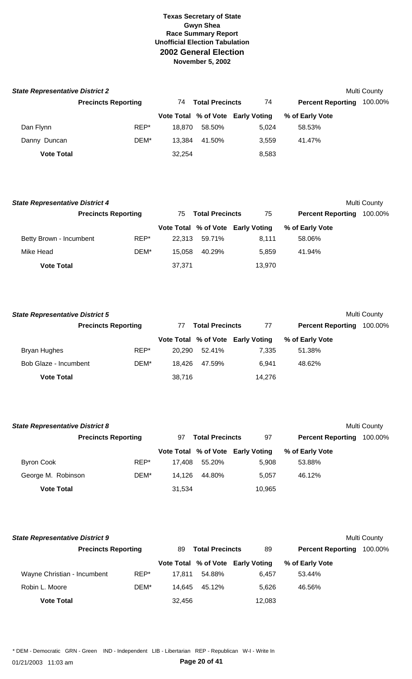| <b>State Representative District 2</b> |                            |                              |        |                                   |                          | Multi County |
|----------------------------------------|----------------------------|------------------------------|--------|-----------------------------------|--------------------------|--------------|
|                                        | <b>Precincts Reporting</b> | <b>Total Precincts</b><br>74 |        | 74                                | <b>Percent Reporting</b> | 100.00%      |
|                                        |                            |                              |        | Vote Total % of Vote Early Voting | % of Early Vote          |              |
| Dan Flynn                              | REP*                       | 18.870                       | 58.50% | 5.024                             | 58.53%                   |              |
| Danny Duncan                           | DEM*                       | 13.384                       | 41.50% | 3.559                             | 41.47%                   |              |
| <b>Vote Total</b>                      |                            | 32,254                       |        | 8,583                             |                          |              |

| <b>State Representative District 4</b> |                            |      |                              |        |                                   |                          | Multi County |
|----------------------------------------|----------------------------|------|------------------------------|--------|-----------------------------------|--------------------------|--------------|
|                                        | <b>Precincts Reporting</b> |      | <b>Total Precincts</b><br>75 |        | 75                                | <b>Percent Reporting</b> | 100.00%      |
|                                        |                            |      |                              |        | Vote Total % of Vote Early Voting | % of Early Vote          |              |
| Betty Brown - Incumbent                |                            | REP* | 22.313                       | 59.71% | 8.111                             | 58.06%                   |              |
| Mike Head                              |                            | DEM* | 15.058                       | 40.29% | 5.859                             | 41.94%                   |              |
| <b>Vote Total</b>                      |                            |      | 37,371                       |        | 13,970                            |                          |              |

| <b>State Representative District 5</b> |                            |      |                              |        |                                   |                          | <b>Multi County</b> |
|----------------------------------------|----------------------------|------|------------------------------|--------|-----------------------------------|--------------------------|---------------------|
|                                        | <b>Precincts Reporting</b> |      | <b>Total Precincts</b><br>77 |        | 77                                | <b>Percent Reporting</b> | 100.00%             |
|                                        |                            |      |                              |        | Vote Total % of Vote Early Voting | % of Early Vote          |                     |
| Bryan Hughes                           |                            | REP* | 20,290                       | 52.41% | 7.335                             | 51.38%                   |                     |
| Bob Glaze - Incumbent                  |                            | DEM* | 18.426                       | 47.59% | 6.941                             | 48.62%                   |                     |
| <b>Vote Total</b>                      |                            |      | 38,716                       |        | 14,276                            |                          |                     |

| <b>State Representative District 8</b> |                            |                              |        |                                   |                          | Multi County |
|----------------------------------------|----------------------------|------------------------------|--------|-----------------------------------|--------------------------|--------------|
|                                        | <b>Precincts Reporting</b> | <b>Total Precincts</b><br>97 |        | 97                                | <b>Percent Reporting</b> | 100.00%      |
|                                        |                            |                              |        | Vote Total % of Vote Early Voting | % of Early Vote          |              |
| <b>Byron Cook</b>                      | REP*                       | 17.408                       | 55.20% | 5.908                             | 53.88%                   |              |
| George M. Robinson                     | DEM*                       | 14.126                       | 44.80% | 5.057                             | 46.12%                   |              |
| <b>Vote Total</b>                      |                            | 31,534                       |        | 10,965                            |                          |              |

| <b>State Representative District 9</b> |                            |      |        |                        |                                   |                          | Multi County |
|----------------------------------------|----------------------------|------|--------|------------------------|-----------------------------------|--------------------------|--------------|
|                                        | <b>Precincts Reporting</b> |      | 89     | <b>Total Precincts</b> |                                   | <b>Percent Reporting</b> | 100.00%      |
|                                        |                            |      |        |                        | Vote Total % of Vote Early Voting | % of Early Vote          |              |
| Wayne Christian - Incumbent            |                            | REP* | 17.811 | 54.88%                 | 6.457                             | 53.44%                   |              |
| Robin L. Moore                         |                            | DEM* | 14.645 | 45.12%                 | 5.626                             | 46.56%                   |              |
| <b>Vote Total</b>                      |                            |      | 32.456 |                        | 12,083                            |                          |              |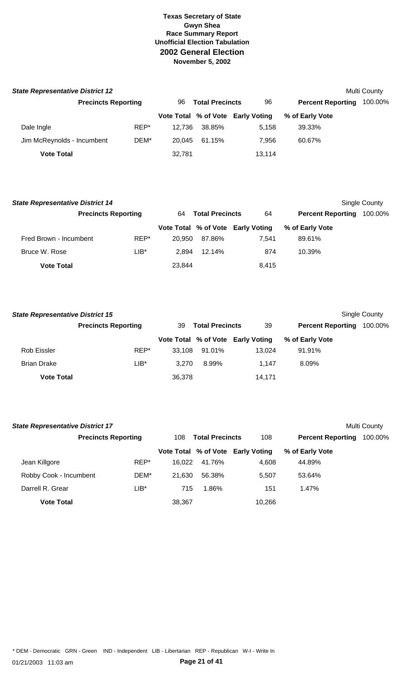| <b>State Representative District 12</b> |                            |      |                              |        |                                   |                          | <b>Multi County</b> |
|-----------------------------------------|----------------------------|------|------------------------------|--------|-----------------------------------|--------------------------|---------------------|
|                                         | <b>Precincts Reporting</b> |      | <b>Total Precincts</b><br>96 |        | 96                                | <b>Percent Reporting</b> | 100.00%             |
|                                         |                            |      |                              |        | Vote Total % of Vote Early Voting | % of Early Vote          |                     |
| Dale Ingle                              |                            | REP* | 12.736                       | 38.85% | 5.158                             | 39.33%                   |                     |
| Jim McReynolds - Incumbent              |                            | DEM* | 20.045                       | 61.15% | 7.956                             | 60.67%                   |                     |
| <b>Vote Total</b>                       |                            |      | 32,781                       |        | 13,114                            |                          |                     |

| <b>State Representative District 14</b> |                            |         |                              |        |                                   |                          | Single County |
|-----------------------------------------|----------------------------|---------|------------------------------|--------|-----------------------------------|--------------------------|---------------|
|                                         | <b>Precincts Reporting</b> |         | <b>Total Precincts</b><br>64 |        | 64                                | <b>Percent Reporting</b> | 100.00%       |
|                                         |                            |         |                              |        | Vote Total % of Vote Early Voting | % of Early Vote          |               |
| Fred Brown - Incumbent                  |                            | REP*    | 20,950                       | 87.86% | 7.541                             | 89.61%                   |               |
| Bruce W. Rose                           |                            | $LIB^*$ | 2.894                        | 12.14% | 874                               | 10.39%                   |               |
| <b>Vote Total</b>                       |                            |         | 23,844                       |        | 8.415                             |                          |               |

| <b>State Representative District 15</b> |                            |                              |        |                                   |                          | Single County |
|-----------------------------------------|----------------------------|------------------------------|--------|-----------------------------------|--------------------------|---------------|
|                                         | <b>Precincts Reporting</b> | <b>Total Precincts</b><br>39 |        | 39                                | <b>Percent Reporting</b> | 100.00%       |
|                                         |                            |                              |        | Vote Total % of Vote Early Voting | % of Early Vote          |               |
| Rob Eissler                             | REP*                       | 33.108                       | 91.01% | 13.024                            | 91.91%                   |               |
| <b>Brian Drake</b>                      | $LIB*$                     | 3.270                        | 8.99%  | 1.147                             | 8.09%                    |               |
| <b>Vote Total</b>                       |                            | 36,378                       |        | 14,171                            |                          |               |

| <b>State Representative District 17</b> |                            |                               |        |                                   |                          | Multi County |
|-----------------------------------------|----------------------------|-------------------------------|--------|-----------------------------------|--------------------------|--------------|
|                                         | <b>Precincts Reporting</b> | <b>Total Precincts</b><br>108 |        | 108                               | <b>Percent Reporting</b> | 100.00%      |
|                                         |                            |                               |        | Vote Total % of Vote Early Voting | % of Early Vote          |              |
| Jean Killgore                           | REP*                       | 16.022                        | 41.76% | 4.608                             | 44.89%                   |              |
| Robby Cook - Incumbent                  | DEM*                       | 21.630                        | 56.38% | 5.507                             | 53.64%                   |              |
| Darrell R. Grear                        | $LIB*$                     | 715                           | 1.86%  | 151                               | 1.47%                    |              |
| <b>Vote Total</b>                       |                            | 38.367                        |        | 10.266                            |                          |              |

01/21/2003 11:03 am \* DEM - Democratic GRN - Green IND - Independent LIB - Libertarian REP - Republican W-I - Write In **Page 21 of 41**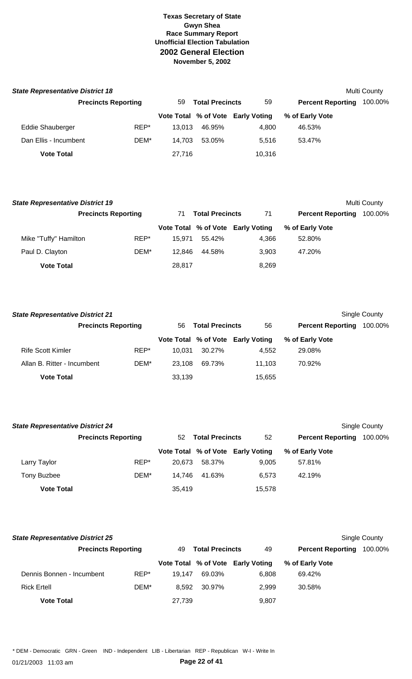| <b>State Representative District 18</b><br><b>Multi County</b> |                            |        |                              |                                   |                          |         |  |  |  |
|----------------------------------------------------------------|----------------------------|--------|------------------------------|-----------------------------------|--------------------------|---------|--|--|--|
|                                                                | <b>Precincts Reporting</b> |        | <b>Total Precincts</b><br>59 |                                   | <b>Percent Reporting</b> | 100.00% |  |  |  |
|                                                                |                            |        |                              | Vote Total % of Vote Early Voting | % of Early Vote          |         |  |  |  |
| <b>Eddie Shauberger</b>                                        | REP*                       | 13.013 | 46.95%                       | 4.800                             | 46.53%                   |         |  |  |  |
| Dan Ellis - Incumbent                                          | DEM*                       | 14.703 | 53.05%                       | 5.516                             | 53.47%                   |         |  |  |  |
| <b>Vote Total</b>                                              |                            | 27,716 |                              | 10,316                            |                          |         |  |  |  |

| <b>State Representative District 19</b> |                            |      |                              |        |                                   |                          | Multi County |
|-----------------------------------------|----------------------------|------|------------------------------|--------|-----------------------------------|--------------------------|--------------|
|                                         | <b>Precincts Reporting</b> |      | <b>Total Precincts</b><br>71 |        | 71                                | <b>Percent Reporting</b> | 100.00%      |
|                                         |                            |      |                              |        | Vote Total % of Vote Early Voting | % of Early Vote          |              |
| Mike "Tuffy" Hamilton                   |                            | REP* | 15.971                       | 55.42% | 4.366                             | 52.80%                   |              |
| Paul D. Clayton                         |                            | DEM* | 12.846                       | 44.58% | 3.903                             | 47.20%                   |              |
| <b>Vote Total</b>                       |                            |      | 28,817                       |        | 8,269                             |                          |              |

| <b>State Representative District 21</b> |                            |      |                              |        |                                   |                          | Single County |
|-----------------------------------------|----------------------------|------|------------------------------|--------|-----------------------------------|--------------------------|---------------|
|                                         | <b>Precincts Reporting</b> |      | <b>Total Precincts</b><br>56 |        | 56                                | <b>Percent Reporting</b> | 100.00%       |
|                                         |                            |      |                              |        | Vote Total % of Vote Early Voting | % of Early Vote          |               |
| Rife Scott Kimler                       |                            | REP* | 10.031                       | 30.27% | 4.552                             | 29.08%                   |               |
| Allan B. Ritter - Incumbent             |                            | DEM* | 23.108                       | 69.73% | 11.103                            | 70.92%                   |               |
| <b>Vote Total</b>                       |                            |      | 33,139                       |        | 15,655                            |                          |               |

| Single County<br><b>State Representative District 24</b> |                            |                              |        |                                   |                          |         |  |  |
|----------------------------------------------------------|----------------------------|------------------------------|--------|-----------------------------------|--------------------------|---------|--|--|
|                                                          | <b>Precincts Reporting</b> | <b>Total Precincts</b><br>52 |        | 52                                | <b>Percent Reporting</b> | 100.00% |  |  |
|                                                          |                            |                              |        | Vote Total % of Vote Early Voting | % of Early Vote          |         |  |  |
| Larry Taylor                                             | REP*                       | 20.673                       | 58.37% | 9.005                             | 57.81%                   |         |  |  |
| Tony Buzbee                                              | DEM*                       | 14.746                       | 41.63% | 6.573                             | 42.19%                   |         |  |  |
| <b>Vote Total</b>                                        |                            | 35.419                       |        | 15,578                            |                          |         |  |  |

| <b>State Representative District 25</b><br>Single County |  |      |                        |        |                                   |                 |  |  |  |
|----------------------------------------------------------|--|------|------------------------|--------|-----------------------------------|-----------------|--|--|--|
| <b>Precincts Reporting</b>                               |  | 49.  | <b>Total Precincts</b> |        | <b>Percent Reporting</b>          | 100.00%         |  |  |  |
|                                                          |  |      |                        |        | Vote Total % of Vote Early Voting | % of Early Vote |  |  |  |
| Dennis Bonnen - Incumbent                                |  | REP* | 19.147                 | 69.03% | 6.808                             | 69.42%          |  |  |  |
| <b>Rick Ertell</b>                                       |  | DEM* | 8.592                  | 30.97% | 2.999                             | 30.58%          |  |  |  |
| <b>Vote Total</b>                                        |  |      | 27.739                 |        | 9,807                             |                 |  |  |  |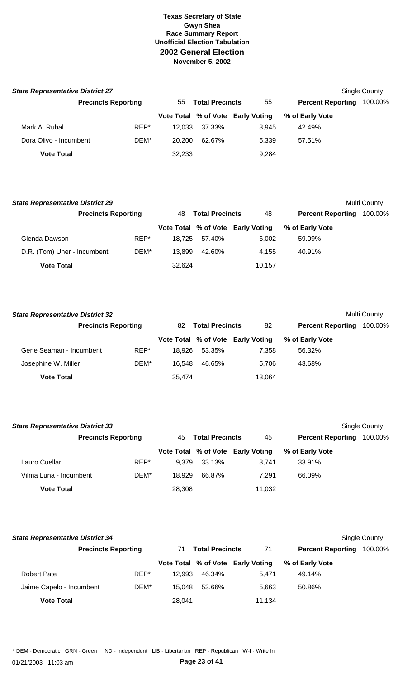| <b>State Representative District 27</b><br>Single County |                            |        |                        |                                   |                          |         |  |  |
|----------------------------------------------------------|----------------------------|--------|------------------------|-----------------------------------|--------------------------|---------|--|--|
|                                                          | <b>Precincts Reporting</b> | 55     | <b>Total Precincts</b> |                                   | <b>Percent Reporting</b> | 100.00% |  |  |
|                                                          |                            |        |                        | Vote Total % of Vote Early Voting | % of Early Vote          |         |  |  |
| Mark A. Rubal                                            | REP*                       | 12.033 | 37.33%                 | 3.945                             | 42.49%                   |         |  |  |
| Dora Olivo - Incumbent                                   | DEM*                       | 20,200 | 62.67%                 | 5.339                             | 57.51%                   |         |  |  |
| <b>Vote Total</b>                                        |                            | 32,233 |                        | 9.284                             |                          |         |  |  |

| <b>State Representative District 29</b> |                            |      |        |                        |                                   |                          | Multi County |
|-----------------------------------------|----------------------------|------|--------|------------------------|-----------------------------------|--------------------------|--------------|
|                                         | <b>Precincts Reporting</b> |      | 48.    | <b>Total Precincts</b> |                                   | <b>Percent Reporting</b> | 100.00%      |
|                                         |                            |      |        |                        | Vote Total % of Vote Early Voting | % of Early Vote          |              |
| Glenda Dawson                           |                            | REP* | 18.725 | 57.40%                 | 6.002                             | 59.09%                   |              |
| D.R. (Tom) Uher - Incumbent             |                            | DEM* | 13.899 | 42.60%                 | 4.155                             | 40.91%                   |              |
| <b>Vote Total</b>                       |                            |      | 32,624 |                        | 10,157                            |                          |              |

| <b>State Representative District 32</b> |                            |      |                               |        |                                   |                          | Multi County |
|-----------------------------------------|----------------------------|------|-------------------------------|--------|-----------------------------------|--------------------------|--------------|
|                                         | <b>Precincts Reporting</b> |      | <b>Total Precincts</b><br>82. |        | 82                                | <b>Percent Reporting</b> | 100.00%      |
|                                         |                            |      |                               |        | Vote Total % of Vote Early Voting | % of Early Vote          |              |
| Gene Seaman - Incumbent                 |                            | REP* | 18.926                        | 53.35% | 7.358                             | 56.32%                   |              |
| Josephine W. Miller                     |                            | DEM* | 16.548                        | 46.65% | 5.706                             | 43.68%                   |              |
| <b>Vote Total</b>                       |                            |      | 35,474                        |        | 13,064                            |                          |              |

| <b>State Representative District 33</b> |                            |                              |        |                                   |                          | Single County |
|-----------------------------------------|----------------------------|------------------------------|--------|-----------------------------------|--------------------------|---------------|
|                                         | <b>Precincts Reporting</b> | <b>Total Precincts</b><br>45 |        | 45                                | <b>Percent Reporting</b> | 100.00%       |
|                                         |                            |                              |        | Vote Total % of Vote Early Voting | % of Early Vote          |               |
| Lauro Cuellar                           | REP*                       | 9.379                        | 33.13% | 3.741                             | 33.91%                   |               |
| Vilma Luna - Incumbent                  | DEM*                       | 18.929                       | 66.87% | 7.291                             | 66.09%                   |               |
| <b>Vote Total</b>                       |                            | 28,308                       |        | 11,032                            |                          |               |

| <b>State Representative District 34</b><br>Single County |                            |        |                        |                                   |                          |         |  |  |  |
|----------------------------------------------------------|----------------------------|--------|------------------------|-----------------------------------|--------------------------|---------|--|--|--|
|                                                          | <b>Precincts Reporting</b> | 71     | <b>Total Precincts</b> |                                   | <b>Percent Reporting</b> | 100.00% |  |  |  |
|                                                          |                            |        |                        | Vote Total % of Vote Early Voting | % of Early Vote          |         |  |  |  |
| <b>Robert Pate</b>                                       | REP*                       | 12.993 | 46.34%                 | 5.471                             | 49.14%                   |         |  |  |  |
| Jaime Capelo - Incumbent                                 | DEM*                       | 15.048 | 53.66%                 | 5.663                             | 50.86%                   |         |  |  |  |
| <b>Vote Total</b>                                        |                            | 28.041 |                        | 11.134                            |                          |         |  |  |  |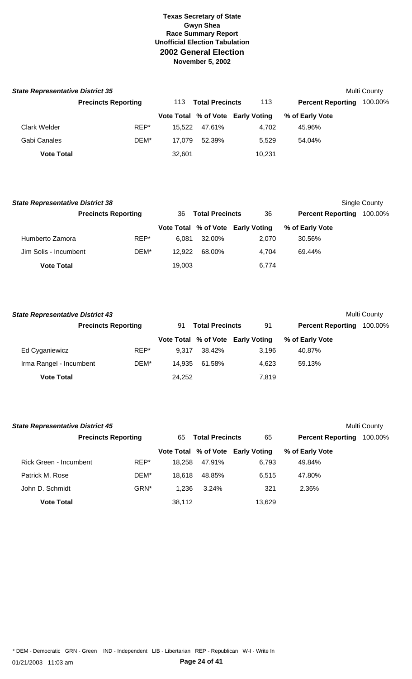| <b>State Representative District 35</b> |                            |        |                        |                                   |                          | <b>Multi County</b> |
|-----------------------------------------|----------------------------|--------|------------------------|-----------------------------------|--------------------------|---------------------|
|                                         | <b>Precincts Reporting</b> | 113    | <b>Total Precincts</b> |                                   | <b>Percent Reporting</b> | 100.00%             |
|                                         |                            |        |                        | Vote Total % of Vote Early Voting | % of Early Vote          |                     |
| Clark Welder                            | REP*                       | 15.522 | 47.61%                 | 4.702                             | 45.96%                   |                     |
| Gabi Canales                            | DEM*                       | 17.079 | 52.39%                 | 5.529                             | 54.04%                   |                     |
| <b>Vote Total</b>                       |                            | 32,601 |                        | 10,231                            |                          |                     |

| <b>State Representative District 38</b> |                            |      |                              |        |                                   |                          | Single County |
|-----------------------------------------|----------------------------|------|------------------------------|--------|-----------------------------------|--------------------------|---------------|
|                                         | <b>Precincts Reporting</b> |      | <b>Total Precincts</b><br>36 |        | 36                                | <b>Percent Reporting</b> | 100.00%       |
|                                         |                            |      |                              |        | Vote Total % of Vote Early Voting | % of Early Vote          |               |
| Humberto Zamora                         |                            | REP* | 6.081                        | 32.00% | 2.070                             | 30.56%                   |               |
| Jim Solis - Incumbent                   |                            | DEM* | 12.922                       | 68.00% | 4.704                             | 69.44%                   |               |
| <b>Vote Total</b>                       |                            |      | 19,003                       |        | 6,774                             |                          |               |

| <b>State Representative District 43</b> |                            |      |                              |        |                                   |                          | Multi County |
|-----------------------------------------|----------------------------|------|------------------------------|--------|-----------------------------------|--------------------------|--------------|
|                                         | <b>Precincts Reporting</b> |      | <b>Total Precincts</b><br>91 |        | 91                                | <b>Percent Reporting</b> | 100.00%      |
|                                         |                            |      |                              |        | Vote Total % of Vote Early Voting | % of Early Vote          |              |
| Ed Cyganiewicz                          |                            | REP* | 9.317                        | 38.42% | 3.196                             | 40.87%                   |              |
| Irma Rangel - Incumbent                 |                            | DEM* | 14.935                       | 61.58% | 4.623                             | 59.13%                   |              |
| <b>Vote Total</b>                       |                            |      | 24,252                       |        | 7,819                             |                          |              |

| <b>Multi County</b><br><b>State Representative District 45</b> |                            |        |                              |                                   |                          |         |  |  |  |
|----------------------------------------------------------------|----------------------------|--------|------------------------------|-----------------------------------|--------------------------|---------|--|--|--|
|                                                                | <b>Precincts Reporting</b> |        | <b>Total Precincts</b><br>65 |                                   | <b>Percent Reporting</b> | 100.00% |  |  |  |
|                                                                |                            |        |                              | Vote Total % of Vote Early Voting | % of Early Vote          |         |  |  |  |
| Rick Green - Incumbent                                         | REP*                       | 18.258 | 47.91%                       | 6.793                             | 49.84%                   |         |  |  |  |
| Patrick M. Rose                                                | DEM*                       | 18.618 | 48.85%                       | 6.515                             | 47.80%                   |         |  |  |  |
| John D. Schmidt                                                | GRN*                       | 1,236  | $3.24\%$                     | 321                               | 2.36%                    |         |  |  |  |
| <b>Vote Total</b>                                              |                            | 38,112 |                              | 13,629                            |                          |         |  |  |  |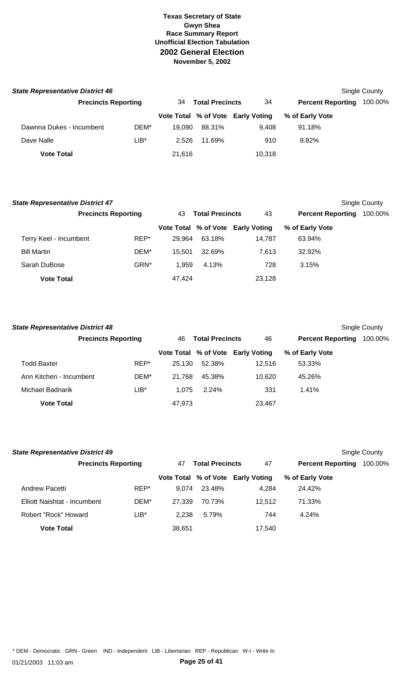| <b>State Representative District 46</b> |                            |      |                              |        |                                   |                          | Single County |
|-----------------------------------------|----------------------------|------|------------------------------|--------|-----------------------------------|--------------------------|---------------|
|                                         | <b>Precincts Reporting</b> |      | <b>Total Precincts</b><br>34 |        | 34                                | <b>Percent Reporting</b> | 100.00%       |
|                                         |                            |      |                              |        | Vote Total % of Vote Early Voting | % of Early Vote          |               |
| Dawnna Dukes - Incumbent                |                            | DEM* | 19.090                       | 88.31% | 9.408                             | 91.18%                   |               |
| Dave Nalle                              |                            | LIB* | 2.526                        | 11.69% | 910                               | 8.82%                    |               |
| <b>Vote Total</b>                       |                            |      | 21,616                       |        | 10,318                            |                          |               |

| <b>State Representative District 47</b> |                            |                  |                              |        |                                   |                          | Single County |
|-----------------------------------------|----------------------------|------------------|------------------------------|--------|-----------------------------------|--------------------------|---------------|
|                                         | <b>Precincts Reporting</b> |                  | <b>Total Precincts</b><br>43 |        | 43                                | <b>Percent Reporting</b> | 100.00%       |
|                                         |                            |                  |                              |        | Vote Total % of Vote Early Voting | % of Early Vote          |               |
| Terry Keel - Incumbent                  |                            | REP*             | 29.964                       | 63.18% | 14.787                            | 63.94%                   |               |
| <b>Bill Martin</b>                      |                            | DEM*             | 15.501                       | 32.69% | 7.613                             | 32.92%                   |               |
| Sarah DuBose                            |                            | GRN <sup>*</sup> | 1.959                        | 4.13%  | 728                               | 3.15%                    |               |
| <b>Vote Total</b>                       |                            |                  | 47.424                       |        | 23,128                            |                          |               |

| <b>State Representative District 48</b> |                            |                              |        |                                   |                          | Single County |
|-----------------------------------------|----------------------------|------------------------------|--------|-----------------------------------|--------------------------|---------------|
|                                         | <b>Precincts Reporting</b> | <b>Total Precincts</b><br>46 |        | 46                                | <b>Percent Reporting</b> | 100.00%       |
|                                         |                            |                              |        | Vote Total % of Vote Early Voting | % of Early Vote          |               |
| <b>Todd Baxter</b>                      | REP*                       | 25.130                       | 52.38% | 12.516                            | 53.33%                   |               |
| Ann Kitchen - Incumbent                 | DEM*                       | 21.768                       | 45.38% | 10.620                            | 45.26%                   |               |
| Michael Badnarik                        | $LIB*$                     | 1.075                        | 2.24%  | 331                               | 1.41%                    |               |
| <b>Vote Total</b>                       |                            | 47.973                       |        | 23,467                            |                          |               |

| <b>State Representative District 49</b> |                            |        |                              |        |                                   |                          | Single County |
|-----------------------------------------|----------------------------|--------|------------------------------|--------|-----------------------------------|--------------------------|---------------|
|                                         | <b>Precincts Reporting</b> |        | <b>Total Precincts</b><br>47 |        | 47                                | <b>Percent Reporting</b> | 100.00%       |
|                                         |                            |        |                              |        | Vote Total % of Vote Early Voting | % of Early Vote          |               |
| Andrew Pacetti                          |                            | REP*   | 9.074                        | 23.48% | 4.284                             | 24.42%                   |               |
| Elliott Naishtat - Incumbent            |                            | DEM*   | 27.339                       | 70.73% | 12.512                            | 71.33%                   |               |
| Robert "Rock" Howard                    |                            | $LIB*$ | 2.238                        | 5.79%  | 744                               | 4.24%                    |               |
| <b>Vote Total</b>                       |                            |        | 38,651                       |        | 17.540                            |                          |               |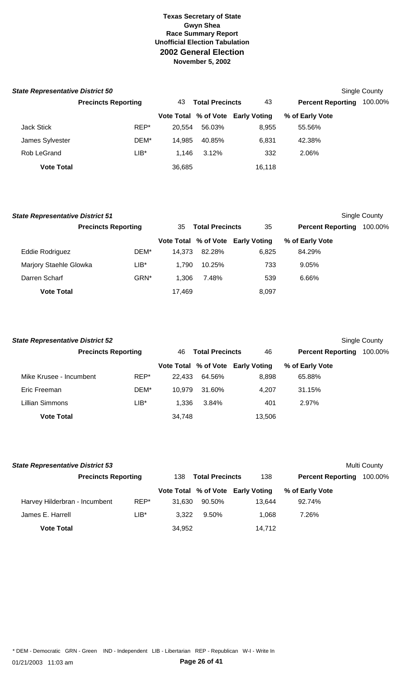| <b>State Representative District 50</b><br>Single County |                            |                              |        |                                   |                          |         |  |  |  |
|----------------------------------------------------------|----------------------------|------------------------------|--------|-----------------------------------|--------------------------|---------|--|--|--|
|                                                          | <b>Precincts Reporting</b> | <b>Total Precincts</b><br>43 |        | 43                                | <b>Percent Reporting</b> | 100.00% |  |  |  |
|                                                          |                            |                              |        | Vote Total % of Vote Early Voting | % of Early Vote          |         |  |  |  |
| Jack Stick                                               | REP*                       | 20.554                       | 56.03% | 8.955                             | 55.56%                   |         |  |  |  |
| James Sylvester                                          | DEM*                       | 14.985                       | 40.85% | 6,831                             | 42.38%                   |         |  |  |  |
| Rob LeGrand                                              | $LIB*$                     | 1.146                        | 3.12%  | 332                               | 2.06%                    |         |  |  |  |
| <b>Vote Total</b>                                        |                            | 36,685                       |        | 16,118                            |                          |         |  |  |  |

| <b>State Representative District 51</b> |                            |        |                              |        |                                   |                          | Single County |
|-----------------------------------------|----------------------------|--------|------------------------------|--------|-----------------------------------|--------------------------|---------------|
|                                         | <b>Precincts Reporting</b> |        | <b>Total Precincts</b><br>35 |        | 35                                | <b>Percent Reporting</b> | 100.00%       |
|                                         |                            |        |                              |        | Vote Total % of Vote Early Voting | % of Early Vote          |               |
| Eddie Rodriguez                         |                            | DEM*   | 14.373                       | 82.28% | 6.825                             | 84.29%                   |               |
| Marjory Staehle Glowka                  |                            | $LIB*$ | 1.790                        | 10.25% | 733                               | 9.05%                    |               |
| Darren Scharf                           |                            | GRN*   | 1.306                        | 7.48%  | 539                               | 6.66%                    |               |
| <b>Vote Total</b>                       |                            |        | 17.469                       |        | 8,097                             |                          |               |

| <b>State Representative District 52</b> |                            | Single County                |        |                                   |                          |         |
|-----------------------------------------|----------------------------|------------------------------|--------|-----------------------------------|--------------------------|---------|
|                                         | <b>Precincts Reporting</b> | <b>Total Precincts</b><br>46 |        | 46                                | <b>Percent Reporting</b> | 100.00% |
|                                         |                            |                              |        | Vote Total % of Vote Early Voting | % of Early Vote          |         |
| Mike Krusee - Incumbent                 | REP*                       | 22.433                       | 64.56% | 8,898                             | 65.88%                   |         |
| Eric Freeman                            | DEM*                       | 10.979                       | 31.60% | 4.207                             | 31.15%                   |         |
| Lillian Simmons                         | $LIB*$                     | 1.336                        | 3.84%  | 401                               | 2.97%                    |         |
| <b>Vote Total</b>                       |                            | 34,748                       |        | 13,506                            |                          |         |

| <b>State Representative District 53</b> |                            |      |                                |        |                                   |                          | Multi County |
|-----------------------------------------|----------------------------|------|--------------------------------|--------|-----------------------------------|--------------------------|--------------|
|                                         | <b>Precincts Reporting</b> |      | <b>Total Precincts</b><br>138. |        | 138                               | <b>Percent Reporting</b> | 100.00%      |
|                                         |                            |      |                                |        | Vote Total % of Vote Early Voting | % of Early Vote          |              |
| Harvey Hilderbran - Incumbent           |                            | REP* | 31.630                         | 90.50% | 13.644                            | 92.74%                   |              |
| James E. Harrell                        |                            | LIB* | 3.322                          | 9.50%  | 1.068                             | 7.26%                    |              |
| <b>Vote Total</b>                       |                            |      | 34,952                         |        | 14,712                            |                          |              |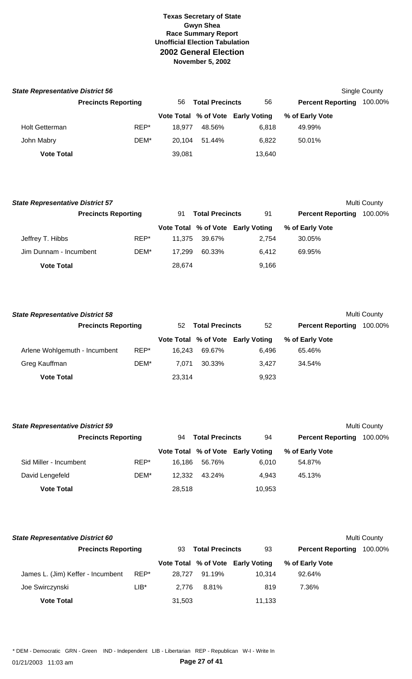| <b>State Representative District 56</b> |                            |                              |        |                                   |                          | Single County |
|-----------------------------------------|----------------------------|------------------------------|--------|-----------------------------------|--------------------------|---------------|
|                                         | <b>Precincts Reporting</b> | <b>Total Precincts</b><br>56 |        | 56                                | <b>Percent Reporting</b> | 100.00%       |
|                                         |                            |                              |        | Vote Total % of Vote Early Voting | % of Early Vote          |               |
| Holt Getterman                          | REP*                       | 18.977                       | 48.56% | 6.818                             | 49.99%                   |               |
| John Mabry                              | DEM*                       | 20.104                       | 51.44% | 6.822                             | 50.01%                   |               |
| <b>Vote Total</b>                       |                            | 39,081                       |        | 13,640                            |                          |               |

| <b>State Representative District 57</b> |                            |      |                              |        |                                   |                          | Multi County |
|-----------------------------------------|----------------------------|------|------------------------------|--------|-----------------------------------|--------------------------|--------------|
|                                         | <b>Precincts Reporting</b> |      | <b>Total Precincts</b><br>91 |        | 91                                | <b>Percent Reporting</b> | 100.00%      |
|                                         |                            |      |                              |        | Vote Total % of Vote Early Voting | % of Early Vote          |              |
| Jeffrey T. Hibbs                        |                            | REP* | 11.375                       | 39.67% | 2.754                             | 30.05%                   |              |
| Jim Dunnam - Incumbent                  |                            | DEM* | 17.299                       | 60.33% | 6.412                             | 69.95%                   |              |
| <b>Vote Total</b>                       |                            |      | 28,674                       |        | 9,166                             |                          |              |

| <b>State Representative District 58</b> |                            |      |                              |        |                                   |                          | Multi County |
|-----------------------------------------|----------------------------|------|------------------------------|--------|-----------------------------------|--------------------------|--------------|
|                                         | <b>Precincts Reporting</b> |      | <b>Total Precincts</b><br>52 |        | 52                                | <b>Percent Reporting</b> | 100.00%      |
|                                         |                            |      |                              |        | Vote Total % of Vote Early Voting | % of Early Vote          |              |
| Arlene Wohlgemuth - Incumbent           |                            | REP* | 16.243                       | 69.67% | 6.496                             | 65.46%                   |              |
| Greg Kauffman                           |                            | DEM* | 7.071                        | 30.33% | 3.427                             | 34.54%                   |              |
| <b>Vote Total</b>                       |                            |      | 23,314                       |        | 9,923                             |                          |              |

| <b>State Representative District 59</b> |                            |      |                              |        |                                   |                          | Multi County |
|-----------------------------------------|----------------------------|------|------------------------------|--------|-----------------------------------|--------------------------|--------------|
|                                         | <b>Precincts Reporting</b> |      | <b>Total Precincts</b><br>94 |        | 94                                | <b>Percent Reporting</b> | 100.00%      |
|                                         |                            |      |                              |        | Vote Total % of Vote Early Voting | % of Early Vote          |              |
| Sid Miller - Incumbent                  |                            | REP* | 16.186                       | 56.76% | 6.010                             | 54.87%                   |              |
| David Lengefeld                         |                            | DEM* | 12.332                       | 43.24% | 4.943                             | 45.13%                   |              |
| <b>Vote Total</b>                       |                            |      | 28,518                       |        | 10,953                            |                          |              |

| <b>State Representative District 60</b> |      |        |                        |                                   |                          | Multi County |
|-----------------------------------------|------|--------|------------------------|-----------------------------------|--------------------------|--------------|
| <b>Precincts Reporting</b>              |      | 93     | <b>Total Precincts</b> |                                   | <b>Percent Reporting</b> | 100.00%      |
|                                         |      |        |                        | Vote Total % of Vote Early Voting | % of Early Vote          |              |
| James L. (Jim) Keffer - Incumbent       | REP* | 28.727 | 91.19%                 | 10.314                            | 92.64%                   |              |
| Joe Swirczynski                         | LIB* | 2.776  | 8.81%                  | 819                               | 7.36%                    |              |
| <b>Vote Total</b>                       |      | 31,503 |                        | 11,133                            |                          |              |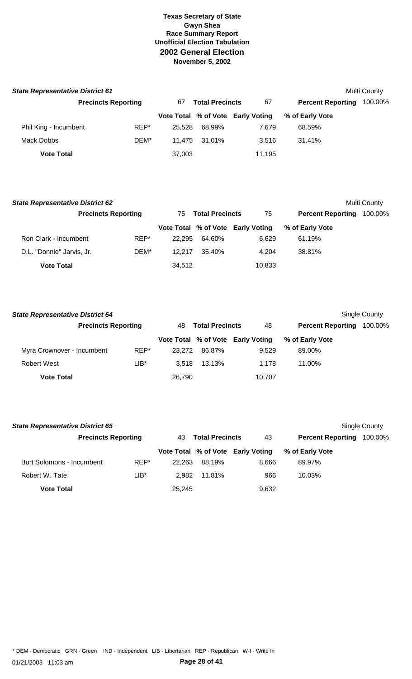| <b>State Representative District 61</b> |                            |      |                              |        |                                   |                          | <b>Multi County</b> |
|-----------------------------------------|----------------------------|------|------------------------------|--------|-----------------------------------|--------------------------|---------------------|
|                                         | <b>Precincts Reporting</b> |      | <b>Total Precincts</b><br>67 |        | 67                                | <b>Percent Reporting</b> | 100.00%             |
|                                         |                            |      |                              |        | Vote Total % of Vote Early Voting | % of Early Vote          |                     |
| Phil King - Incumbent                   |                            | REP* | 25.528                       | 68.99% | 7.679                             | 68.59%                   |                     |
| Mack Dobbs                              |                            | DEM* | 11.475                       | 31.01% | 3.516                             | 31.41%                   |                     |
| <b>Vote Total</b>                       |                            |      | 37,003                       |        | 11.195                            |                          |                     |

| <b>State Representative District 62</b> |                            |      |                               |        |                                   |                          | Multi County |
|-----------------------------------------|----------------------------|------|-------------------------------|--------|-----------------------------------|--------------------------|--------------|
|                                         | <b>Precincts Reporting</b> |      | <b>Total Precincts</b><br>75. |        | 75                                | <b>Percent Reporting</b> | 100.00%      |
|                                         |                            |      |                               |        | Vote Total % of Vote Early Voting | % of Early Vote          |              |
| Ron Clark - Incumbent                   |                            | REP* | 22.295                        | 64.60% | 6.629                             | 61.19%                   |              |
| D.L. "Donnie" Jarvis, Jr.               |                            | DEM* | 12.217                        | 35.40% | 4.204                             | 38.81%                   |              |
| <b>Vote Total</b>                       |                            |      | 34,512                        |        | 10,833                            |                          |              |

| <b>State Representative District 64</b> |                            |      |                              |        |                                   |                          | Single County |
|-----------------------------------------|----------------------------|------|------------------------------|--------|-----------------------------------|--------------------------|---------------|
|                                         | <b>Precincts Reporting</b> |      | <b>Total Precincts</b><br>48 |        | 48                                | <b>Percent Reporting</b> | 100.00%       |
|                                         |                            |      |                              |        | Vote Total % of Vote Early Voting | % of Early Vote          |               |
| Myra Crownover - Incumbent              |                            | REP* | 23.272                       | 86.87% | 9.529                             | 89.00%                   |               |
| <b>Robert West</b>                      |                            | LIB* | 3.518                        | 13.13% | 1.178                             | 11.00%                   |               |
| <b>Vote Total</b>                       |                            |      | 26,790                       |        | 10,707                            |                          |               |

| <b>State Representative District 65</b> |                            |        |                               |        |                                   |                          | Single County |
|-----------------------------------------|----------------------------|--------|-------------------------------|--------|-----------------------------------|--------------------------|---------------|
|                                         | <b>Precincts Reporting</b> |        | <b>Total Precincts</b><br>43. |        | 43                                | <b>Percent Reporting</b> | 100.00%       |
|                                         |                            |        |                               |        | Vote Total % of Vote Early Voting | % of Early Vote          |               |
| Burt Solomons - Incumbent               |                            | REP*   | 22.263                        | 88.19% | 8.666                             | 89.97%                   |               |
| Robert W. Tate                          |                            | $LIB*$ | 2.982                         | 11.81% | 966                               | 10.03%                   |               |
| <b>Vote Total</b>                       |                            |        | 25.245                        |        | 9,632                             |                          |               |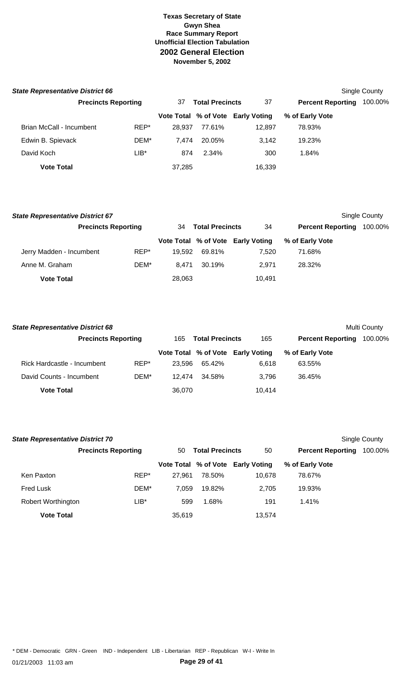| <b>State Representative District 66</b> |                            |      |                              |        |                                   |                          | Single County |
|-----------------------------------------|----------------------------|------|------------------------------|--------|-----------------------------------|--------------------------|---------------|
|                                         | <b>Precincts Reporting</b> |      | <b>Total Precincts</b><br>37 |        | 37                                | <b>Percent Reporting</b> | 100.00%       |
|                                         |                            |      |                              |        | Vote Total % of Vote Early Voting | % of Early Vote          |               |
| Brian McCall - Incumbent                |                            | REP* | 28.937                       | 77.61% | 12,897                            | 78.93%                   |               |
| Edwin B. Spievack                       |                            | DEM* | 7.474                        | 20.05% | 3.142                             | 19.23%                   |               |
| David Koch                              |                            | LIB* | 874                          | 2.34%  | 300                               | 1.84%                    |               |
| <b>Vote Total</b>                       |                            |      | 37,285                       |        | 16,339                            |                          |               |

| <b>State Representative District 67</b> |                            |        |                              |                                   |                          | Single County |
|-----------------------------------------|----------------------------|--------|------------------------------|-----------------------------------|--------------------------|---------------|
|                                         | <b>Precincts Reporting</b> |        | <b>Total Precincts</b><br>34 |                                   | <b>Percent Reporting</b> | 100.00%       |
|                                         |                            |        |                              | Vote Total % of Vote Early Voting | % of Early Vote          |               |
| Jerry Madden - Incumbent                | REP*                       | 19.592 | 69.81%                       | 7.520                             | 71.68%                   |               |
| Anne M. Graham                          | DEM*                       | 8.471  | 30.19%                       | 2.971                             | 28.32%                   |               |
| <b>Vote Total</b>                       |                            | 28,063 |                              | 10,491                            |                          |               |

| <b>State Representative District 68</b> |                            |        |                               |                                   |                          | Multi County |
|-----------------------------------------|----------------------------|--------|-------------------------------|-----------------------------------|--------------------------|--------------|
|                                         | <b>Precincts Reporting</b> |        | <b>Total Precincts</b><br>165 |                                   | <b>Percent Reporting</b> | 100.00%      |
|                                         |                            |        |                               | Vote Total % of Vote Early Voting | % of Early Vote          |              |
| Rick Hardcastle - Incumbent             | REP*                       | 23.596 | 65.42%                        | 6.618                             | 63.55%                   |              |
| David Counts - Incumbent                | DEM*                       | 12.474 | 34.58%                        | 3.796                             | 36.45%                   |              |
| <b>Vote Total</b>                       |                            | 36,070 |                               | 10.414                            |                          |              |

| <b>State Representative District 70</b> |                            |                              |        |                                   |                          | Single County |
|-----------------------------------------|----------------------------|------------------------------|--------|-----------------------------------|--------------------------|---------------|
|                                         | <b>Precincts Reporting</b> | <b>Total Precincts</b><br>50 |        | 50                                | <b>Percent Reporting</b> | 100.00%       |
|                                         |                            |                              |        | Vote Total % of Vote Early Voting | % of Early Vote          |               |
| Ken Paxton                              | REP*                       | 27.961                       | 78.50% | 10.678                            | 78.67%                   |               |
| <b>Fred Lusk</b>                        | DEM*                       | 7.059                        | 19.82% | 2.705                             | 19.93%                   |               |
| Robert Worthington                      | $LIB*$                     | 599                          | 1.68%  | 191                               | 1.41%                    |               |
| <b>Vote Total</b>                       |                            | 35,619                       |        | 13,574                            |                          |               |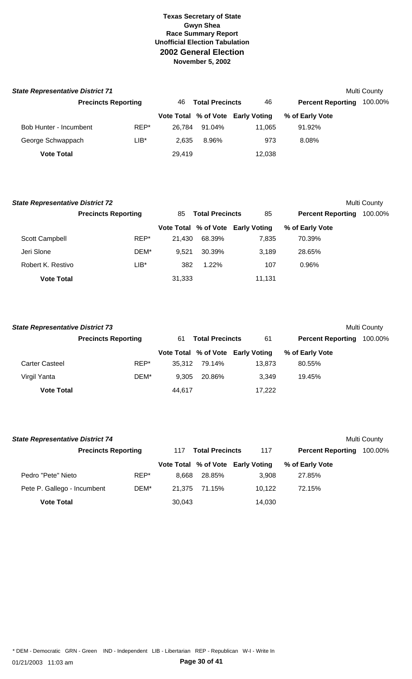| <b>State Representative District 71</b> |                            |      |                               |        |                                   |                          | <b>Multi County</b> |
|-----------------------------------------|----------------------------|------|-------------------------------|--------|-----------------------------------|--------------------------|---------------------|
|                                         | <b>Precincts Reporting</b> |      | <b>Total Precincts</b><br>46. |        | 46                                | <b>Percent Reporting</b> | 100.00%             |
|                                         |                            |      |                               |        | Vote Total % of Vote Early Voting | % of Early Vote          |                     |
| Bob Hunter - Incumbent                  |                            | REP* | 26.784                        | 91.04% | 11.065                            | 91.92%                   |                     |
| George Schwappach                       |                            | LIB* | 2.635                         | 8.96%  | 973                               | 8.08%                    |                     |
| <b>Vote Total</b>                       |                            |      | 29.419                        |        | 12,038                            |                          |                     |

| <b>State Representative District 72</b> |                            |                              |          |                                   |                          | Multi County |
|-----------------------------------------|----------------------------|------------------------------|----------|-----------------------------------|--------------------------|--------------|
|                                         | <b>Precincts Reporting</b> | <b>Total Precincts</b><br>85 |          | 85                                | <b>Percent Reporting</b> | 100.00%      |
|                                         |                            |                              |          | Vote Total % of Vote Early Voting | % of Early Vote          |              |
| Scott Campbell                          | REP*                       | 21.430                       | 68.39%   | 7.835                             | 70.39%                   |              |
| Jeri Slone                              | DEM*                       | 9.521                        | 30.39%   | 3.189                             | 28.65%                   |              |
| Robert K. Restivo                       | $LIB*$                     | 382                          | $1.22\%$ | 107                               | 0.96%                    |              |
| <b>Vote Total</b>                       |                            | 31,333                       |          | 11,131                            |                          |              |

| <b>State Representative District 73</b> |                            |        |                        |                                   |                          | Multi County |
|-----------------------------------------|----------------------------|--------|------------------------|-----------------------------------|--------------------------|--------------|
|                                         | <b>Precincts Reporting</b> | 61     | <b>Total Precincts</b> |                                   | <b>Percent Reporting</b> | 100.00%      |
|                                         |                            |        |                        | Vote Total % of Vote Early Voting | % of Early Vote          |              |
| <b>Carter Casteel</b>                   | REP*                       | 35.312 | 79.14%                 | 13.873                            | 80.55%                   |              |
| Virgil Yanta                            | DEM*                       | 9.305  | 20.86%                 | 3.349                             | 19.45%                   |              |
| <b>Vote Total</b>                       |                            | 44.617 |                        | 17,222                            |                          |              |

| <b>State Representative District 74</b> |                            |        |                               |                                   |                          | <b>Multi County</b> |
|-----------------------------------------|----------------------------|--------|-------------------------------|-----------------------------------|--------------------------|---------------------|
|                                         | <b>Precincts Reporting</b> |        | <b>Total Precincts</b><br>117 |                                   | <b>Percent Reporting</b> | 100.00%             |
|                                         |                            |        |                               | Vote Total % of Vote Early Voting | % of Early Vote          |                     |
| Pedro "Pete" Nieto                      | REP*                       | 8.668  | 28.85%                        | 3.908                             | 27.85%                   |                     |
| Pete P. Gallego - Incumbent             | DEM*                       | 21.375 | 71.15%                        | 10.122                            | 72.15%                   |                     |
| <b>Vote Total</b>                       |                            | 30.043 |                               | 14,030                            |                          |                     |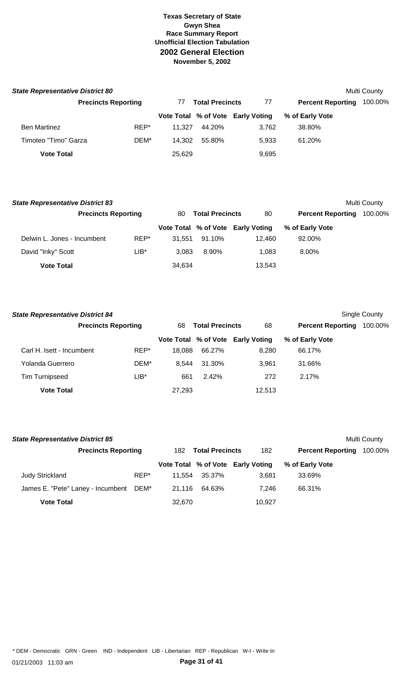| <b>State Representative District 80</b> |                            |        |                        |                                   |                          | Multi County |
|-----------------------------------------|----------------------------|--------|------------------------|-----------------------------------|--------------------------|--------------|
|                                         | <b>Precincts Reporting</b> | 77     | <b>Total Precincts</b> |                                   | <b>Percent Reporting</b> | 100.00%      |
|                                         |                            |        |                        | Vote Total % of Vote Early Voting | % of Early Vote          |              |
| <b>Ben Martinez</b>                     | REP*                       | 11.327 | 44.20%                 | 3.762                             | 38.80%                   |              |
| Timoteo "Timo" Garza                    | DEM*                       | 14.302 | 55.80%                 | 5.933                             | 61.20%                   |              |
| <b>Vote Total</b>                       |                            | 25,629 |                        | 9,695                             |                          |              |

| <b>State Representative District 83</b> |                            |         |                              |        |                                   |                          | Multi County |
|-----------------------------------------|----------------------------|---------|------------------------------|--------|-----------------------------------|--------------------------|--------------|
|                                         | <b>Precincts Reporting</b> |         | <b>Total Precincts</b><br>80 |        | 80                                | <b>Percent Reporting</b> | 100.00%      |
|                                         |                            |         |                              |        | Vote Total % of Vote Early Voting | % of Early Vote          |              |
| Delwin L. Jones - Incumbent             |                            | REP*    | 31.551                       | 91.10% | 12.460                            | 92.00%                   |              |
| David "Inky" Scott                      |                            | $LIB^*$ | 3.083                        | 8.90%  | 1.083                             | 8.00%                    |              |
| <b>Vote Total</b>                       |                            |         | 34,634                       |        | 13,543                            |                          |              |

| <b>State Representative District 84</b> | Single County              |        |                              |                                   |                          |         |
|-----------------------------------------|----------------------------|--------|------------------------------|-----------------------------------|--------------------------|---------|
|                                         | <b>Precincts Reporting</b> |        | <b>Total Precincts</b><br>68 |                                   | <b>Percent Reporting</b> | 100.00% |
|                                         |                            |        |                              | Vote Total % of Vote Early Voting | % of Early Vote          |         |
| Carl H. Isett - Incumbent               | REP*                       | 18.088 | 66.27%                       | 8.280                             | 66.17%                   |         |
| Yolanda Guerrero                        | DEM*                       | 8.544  | 31.30%                       | 3.961                             | 31.66%                   |         |
| <b>Tim Turnipseed</b>                   | $LIB*$                     | 661    | 2.42%                        | 272                               | 2.17%                    |         |
| <b>Vote Total</b>                       |                            | 27,293 |                              | 12,513                            |                          |         |

| <b>State Representative District 85</b> |                            |        |                               |                                   |                          | <b>Multi County</b> |
|-----------------------------------------|----------------------------|--------|-------------------------------|-----------------------------------|--------------------------|---------------------|
|                                         | <b>Precincts Reporting</b> |        | <b>Total Precincts</b><br>182 |                                   | <b>Percent Reporting</b> | 100.00%             |
|                                         |                            |        |                               | Vote Total % of Vote Early Voting | % of Early Vote          |                     |
| <b>Judy Strickland</b>                  | REP*                       | 11.554 | 35.37%                        | 3.681                             | 33.69%                   |                     |
| James E. "Pete" Laney - Incumbent DEM*  |                            | 21.116 | 64.63%                        | 7.246                             | 66.31%                   |                     |
| <b>Vote Total</b>                       |                            | 32.670 |                               | 10.927                            |                          |                     |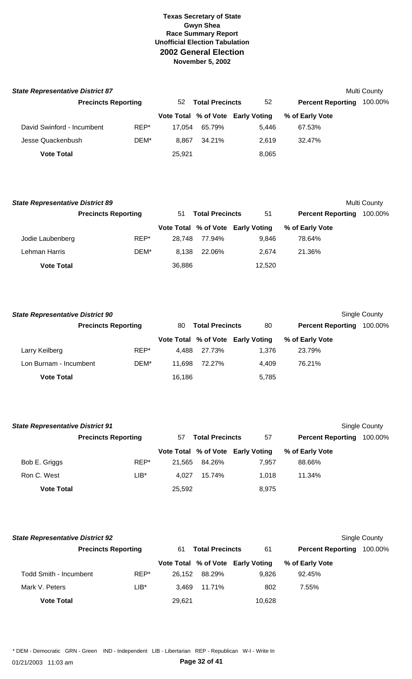| <b>State Representative District 87</b> |                            |      |                              |        |                                   |                          | <b>Multi County</b> |
|-----------------------------------------|----------------------------|------|------------------------------|--------|-----------------------------------|--------------------------|---------------------|
|                                         | <b>Precincts Reporting</b> |      | <b>Total Precincts</b><br>52 |        | 52                                | <b>Percent Reporting</b> | 100.00%             |
|                                         |                            |      |                              |        | Vote Total % of Vote Early Voting | % of Early Vote          |                     |
| David Swinford - Incumbent              |                            | REP* | 17.054                       | 65.79% | 5.446                             | 67.53%                   |                     |
| Jesse Quackenbush                       |                            | DEM* | 8.867                        | 34.21% | 2.619                             | 32.47%                   |                     |
| <b>Vote Total</b>                       |                            |      | 25,921                       |        | 8,065                             |                          |                     |

| <b>State Representative District 89</b> |                            |                              |        |                                   |                          | Multi County |
|-----------------------------------------|----------------------------|------------------------------|--------|-----------------------------------|--------------------------|--------------|
|                                         | <b>Precincts Reporting</b> | <b>Total Precincts</b><br>51 |        | 51                                | <b>Percent Reporting</b> | 100.00%      |
|                                         |                            |                              |        | Vote Total % of Vote Early Voting | % of Early Vote          |              |
| Jodie Laubenberg                        | REP*                       | 28.748                       | 77.94% | 9.846                             | 78.64%                   |              |
| Lehman Harris                           | DEM*                       | 8.138                        | 22.06% | 2.674                             | 21.36%                   |              |
| <b>Vote Total</b>                       |                            | 36,886                       |        | 12,520                            |                          |              |

| <b>State Representative District 90</b> |                            |      |                              |        |                                   |                          | Single County |
|-----------------------------------------|----------------------------|------|------------------------------|--------|-----------------------------------|--------------------------|---------------|
|                                         | <b>Precincts Reporting</b> |      | <b>Total Precincts</b><br>80 |        | 80                                | <b>Percent Reporting</b> | 100.00%       |
|                                         |                            |      |                              |        | Vote Total % of Vote Early Voting | % of Early Vote          |               |
| Larry Keilberg                          |                            | REP* | 4.488                        | 27.73% | 1.376                             | 23.79%                   |               |
| Lon Burnam - Incumbent                  |                            | DEM* | 11.698                       | 72.27% | 4.409                             | 76.21%                   |               |
| <b>Vote Total</b>                       |                            |      | 16,186                       |        | 5,785                             |                          |               |

| <b>State Representative District 91</b> |                            |                              |        |                                   |                          | Single County |
|-----------------------------------------|----------------------------|------------------------------|--------|-----------------------------------|--------------------------|---------------|
|                                         | <b>Precincts Reporting</b> | <b>Total Precincts</b><br>57 |        | 57                                | <b>Percent Reporting</b> | 100.00%       |
|                                         |                            |                              |        | Vote Total % of Vote Early Voting | % of Early Vote          |               |
| Bob E. Griggs                           | REP*                       | 21.565                       | 84.26% | 7.957                             | 88.66%                   |               |
| Ron C. West                             | LIB*                       | 4.027                        | 15.74% | 1.018                             | 11.34%                   |               |
| <b>Vote Total</b>                       |                            | 25,592                       |        | 8,975                             |                          |               |

| <b>State Representative District 92</b><br>Single County |                            |        |                              |        |                                   |                          |         |  |  |
|----------------------------------------------------------|----------------------------|--------|------------------------------|--------|-----------------------------------|--------------------------|---------|--|--|
|                                                          | <b>Precincts Reporting</b> |        | <b>Total Precincts</b><br>61 |        | 61                                | <b>Percent Reporting</b> | 100.00% |  |  |
|                                                          |                            |        |                              |        | Vote Total % of Vote Early Voting | % of Early Vote          |         |  |  |
| Todd Smith - Incumbent                                   |                            | REP*   | 26.152                       | 88.29% | 9.826                             | 92.45%                   |         |  |  |
| Mark V. Peters                                           |                            | $LIB*$ | 3.469                        | 11.71% | 802                               | 7.55%                    |         |  |  |
| <b>Vote Total</b>                                        |                            |        | 29.621                       |        | 10.628                            |                          |         |  |  |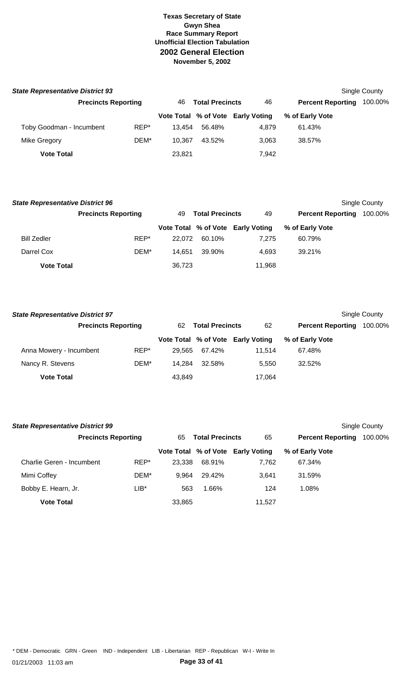| <b>State Representative District 93</b> |                            |      |                              |        |                                   |                          | Single County |
|-----------------------------------------|----------------------------|------|------------------------------|--------|-----------------------------------|--------------------------|---------------|
|                                         | <b>Precincts Reporting</b> |      | <b>Total Precincts</b><br>46 |        | 46                                | <b>Percent Reporting</b> | 100.00%       |
|                                         |                            |      |                              |        | Vote Total % of Vote Early Voting | % of Early Vote          |               |
| Toby Goodman - Incumbent                |                            | REP* | 13.454                       | 56.48% | 4.879                             | 61.43%                   |               |
| Mike Gregory                            |                            | DEM* | 10.367                       | 43.52% | 3.063                             | 38.57%                   |               |
| <b>Vote Total</b>                       |                            |      | 23,821                       |        | 7,942                             |                          |               |

| <b>State Representative District 96</b> |                            |        |                        |                                   |                                | Single County |
|-----------------------------------------|----------------------------|--------|------------------------|-----------------------------------|--------------------------------|---------------|
|                                         | <b>Precincts Reporting</b> | 49     | <b>Total Precincts</b> |                                   | 49<br><b>Percent Reporting</b> |               |
|                                         |                            |        |                        | Vote Total % of Vote Early Voting | % of Early Vote                |               |
| <b>Bill Zedler</b>                      | REP*                       | 22.072 | 60.10%                 | 7.275                             | 60.79%                         |               |
| Darrel Cox                              | DEM*                       | 14.651 | 39.90%                 | 4.693                             | 39.21%                         |               |
| <b>Vote Total</b>                       |                            | 36,723 |                        | 11,968                            |                                |               |

| <b>State Representative District 97</b> |                            |      |                              |        |                                   |                          | Single County |
|-----------------------------------------|----------------------------|------|------------------------------|--------|-----------------------------------|--------------------------|---------------|
|                                         | <b>Precincts Reporting</b> |      | <b>Total Precincts</b><br>62 |        | 62                                | <b>Percent Reporting</b> | 100.00%       |
|                                         |                            |      |                              |        | Vote Total % of Vote Early Voting | % of Early Vote          |               |
| Anna Mowery - Incumbent                 |                            | REP* | 29.565                       | 67.42% | 11.514                            | 67.48%                   |               |
| Nancy R. Stevens                        |                            | DEM* | 14.284                       | 32.58% | 5.550                             | 32.52%                   |               |
| <b>Vote Total</b>                       |                            |      | 43,849                       |        | 17.064                            |                          |               |

| <b>State Representative District 99</b> |                            |        |                              |                                   |                          |         |  |  |  |
|-----------------------------------------|----------------------------|--------|------------------------------|-----------------------------------|--------------------------|---------|--|--|--|
|                                         | <b>Precincts Reporting</b> |        | <b>Total Precincts</b><br>65 |                                   | <b>Percent Reporting</b> | 100.00% |  |  |  |
|                                         |                            |        |                              | Vote Total % of Vote Early Voting | % of Early Vote          |         |  |  |  |
| Charlie Geren - Incumbent               | REP*                       | 23.338 | 68.91%                       | 7.762                             | 67.34%                   |         |  |  |  |
| Mimi Coffey                             | DEM*                       | 9.964  | 29.42%                       | 3.641                             | 31.59%                   |         |  |  |  |
| Bobby E. Hearn, Jr.                     | LIB*                       | 563    | 1.66%                        | 124                               | 1.08%                    |         |  |  |  |
| <b>Vote Total</b>                       |                            | 33,865 |                              | 11.527                            |                          |         |  |  |  |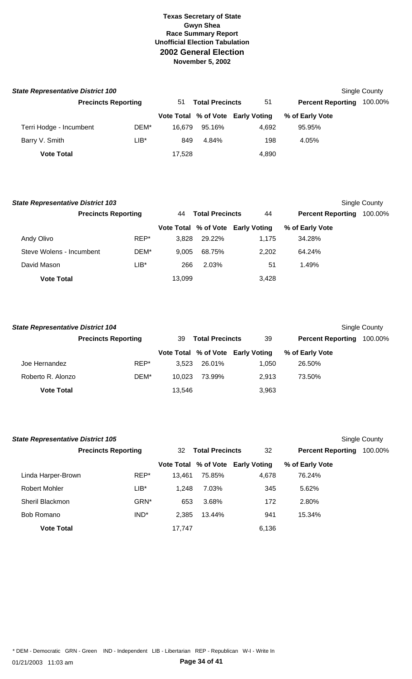| <b>State Representative District 100</b> |                            |         |                              |        |                                   |                          | Single County |
|------------------------------------------|----------------------------|---------|------------------------------|--------|-----------------------------------|--------------------------|---------------|
|                                          | <b>Precincts Reporting</b> |         | <b>Total Precincts</b><br>51 |        | 51                                | <b>Percent Reporting</b> | 100.00%       |
|                                          |                            |         |                              |        | Vote Total % of Vote Early Voting | % of Early Vote          |               |
| Terri Hodge - Incumbent                  |                            | DEM*    | 16.679                       | 95.16% | 4.692                             | 95.95%                   |               |
| Barry V. Smith                           |                            | $LIB^*$ | 849                          | 4.84%  | 198                               | 4.05%                    |               |
| <b>Vote Total</b>                        |                            |         | 17,528                       |        | 4,890                             |                          |               |

| <b>State Representative District 103</b> |                            |        |                              |        |                                   |                          | Single County |
|------------------------------------------|----------------------------|--------|------------------------------|--------|-----------------------------------|--------------------------|---------------|
|                                          | <b>Precincts Reporting</b> |        | <b>Total Precincts</b><br>44 |        | 44                                | <b>Percent Reporting</b> | 100.00%       |
|                                          |                            |        |                              |        | Vote Total % of Vote Early Voting | % of Early Vote          |               |
| Andy Olivo                               |                            | REP*   | 3.828                        | 29.22% | 1.175                             | 34.28%                   |               |
| Steve Wolens - Incumbent                 |                            | DEM*   | 9.005                        | 68.75% | 2.202                             | 64.24%                   |               |
| David Mason                              |                            | $LIB*$ | 266                          | 2.03%  | 51                                | 1.49%                    |               |
| <b>Vote Total</b>                        |                            |        | 13,099                       |        | 3.428                             |                          |               |

| <b>State Representative District 104</b> |                            |                              |        |                                   |                          | Single County |
|------------------------------------------|----------------------------|------------------------------|--------|-----------------------------------|--------------------------|---------------|
|                                          | <b>Precincts Reporting</b> | <b>Total Precincts</b><br>39 |        | 39                                | <b>Percent Reporting</b> | 100.00%       |
|                                          |                            |                              |        | Vote Total % of Vote Early Voting | % of Early Vote          |               |
| Joe Hernandez                            | REP*                       | 3.523                        | 26.01% | 1.050                             | 26.50%                   |               |
| Roberto R. Alonzo                        | DEM*                       | 10.023                       | 73.99% | 2.913                             | 73.50%                   |               |
| <b>Vote Total</b>                        |                            | 13.546                       |        | 3,963                             |                          |               |

| <b>State Representative District 105</b> |                            |        |                        |                                   |                          | Single County |
|------------------------------------------|----------------------------|--------|------------------------|-----------------------------------|--------------------------|---------------|
|                                          | <b>Precincts Reporting</b> | 32     | <b>Total Precincts</b> |                                   | <b>Percent Reporting</b> | 100.00%       |
|                                          |                            |        |                        | Vote Total % of Vote Early Voting | % of Early Vote          |               |
| Linda Harper-Brown                       | REP*                       | 13.461 | 75.85%                 | 4,678                             | 76.24%                   |               |
| Robert Mohler                            | $LIB^*$                    | 1.248  | 7.03%                  | 345                               | 5.62%                    |               |
| Sheril Blackmon                          | GRN*                       | 653    | 3.68%                  | 172                               | 2.80%                    |               |
| Bob Romano                               | IND <sup>*</sup>           | 2.385  | 13.44%                 | 941                               | 15.34%                   |               |
| <b>Vote Total</b>                        |                            | 17.747 |                        | 6,136                             |                          |               |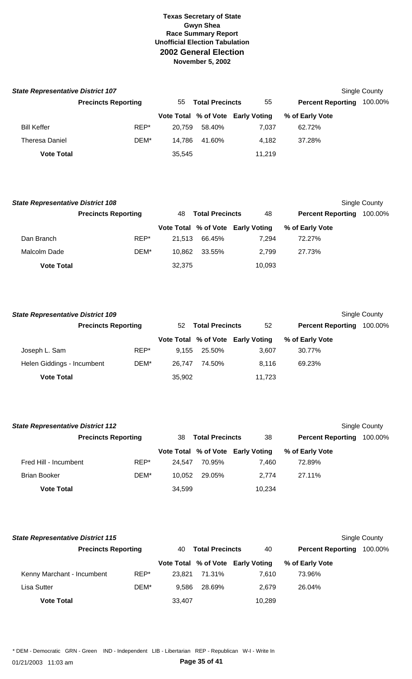| <b>State Representative District 107</b><br>Single County |                            |                              |        |                                   |                          |         |  |  |  |
|-----------------------------------------------------------|----------------------------|------------------------------|--------|-----------------------------------|--------------------------|---------|--|--|--|
|                                                           | <b>Precincts Reporting</b> | <b>Total Precincts</b><br>55 |        | 55                                | <b>Percent Reporting</b> | 100.00% |  |  |  |
|                                                           |                            |                              |        | Vote Total % of Vote Early Voting | % of Early Vote          |         |  |  |  |
| <b>Bill Keffer</b>                                        | REP*                       | 20.759                       | 58.40% | 7.037                             | 62.72%                   |         |  |  |  |
| <b>Theresa Daniel</b>                                     | DEM*                       | 14.786                       | 41.60% | 4.182                             | 37.28%                   |         |  |  |  |
| <b>Vote Total</b>                                         |                            | 35.545                       |        | 11.219                            |                          |         |  |  |  |

| <b>State Representative District 108</b> |                            | Single County                |        |                                   |                          |         |
|------------------------------------------|----------------------------|------------------------------|--------|-----------------------------------|--------------------------|---------|
|                                          | <b>Precincts Reporting</b> | <b>Total Precincts</b><br>48 |        | 48                                | <b>Percent Reporting</b> | 100.00% |
|                                          |                            |                              |        | Vote Total % of Vote Early Voting | % of Early Vote          |         |
| Dan Branch                               | REP*                       | 21.513                       | 66.45% | 7.294                             | 72.27%                   |         |
| Malcolm Dade                             | DEM*                       | 10.862                       | 33.55% | 2.799                             | 27.73%                   |         |
| <b>Vote Total</b>                        |                            | 32,375                       |        | 10,093                            |                          |         |

| <b>State Representative District 109</b> |                            |      |                              |        |                                   |                          | Single County |
|------------------------------------------|----------------------------|------|------------------------------|--------|-----------------------------------|--------------------------|---------------|
|                                          | <b>Precincts Reporting</b> |      | <b>Total Precincts</b><br>52 |        | 52                                | <b>Percent Reporting</b> | 100.00%       |
|                                          |                            |      |                              |        | Vote Total % of Vote Early Voting | % of Early Vote          |               |
| Joseph L. Sam                            |                            | REP* | 9.155                        | 25.50% | 3.607                             | 30.77%                   |               |
| Helen Giddings - Incumbent               |                            | DEM* | 26.747                       | 74.50% | 8.116                             | 69.23%                   |               |
| <b>Vote Total</b>                        |                            |      | 35,902                       |        | 11,723                            |                          |               |

| <b>State Representative District 112</b> |                            |        |                        |                                   |                          | Single County |
|------------------------------------------|----------------------------|--------|------------------------|-----------------------------------|--------------------------|---------------|
|                                          | <b>Precincts Reporting</b> | 38     | <b>Total Precincts</b> |                                   | <b>Percent Reporting</b> | 100.00%       |
|                                          |                            |        |                        | Vote Total % of Vote Early Voting | % of Early Vote          |               |
| Fred Hill - Incumbent                    | REP*                       | 24.547 | 70.95%                 | 7.460                             | 72.89%                   |               |
| <b>Brian Booker</b>                      | DEM*                       | 10.052 | 29.05%                 | 2.774                             | 27.11%                   |               |
| <b>Vote Total</b>                        |                            | 34,599 |                        | 10,234                            |                          |               |

| <b>State Representative District 115</b><br><b>Single County</b> |                            |      |                              |        |                                   |                          |         |  |  |
|------------------------------------------------------------------|----------------------------|------|------------------------------|--------|-----------------------------------|--------------------------|---------|--|--|
|                                                                  | <b>Precincts Reporting</b> |      | <b>Total Precincts</b><br>40 |        | 40                                | <b>Percent Reporting</b> | 100.00% |  |  |
|                                                                  |                            |      |                              |        | Vote Total % of Vote Early Voting | % of Early Vote          |         |  |  |
| Kenny Marchant - Incumbent                                       |                            | REP* | 23.821                       | 71.31% | 7.610                             | 73.96%                   |         |  |  |
| Lisa Sutter                                                      |                            | DEM* | 9.586                        | 28.69% | 2.679                             | 26.04%                   |         |  |  |
| <b>Vote Total</b>                                                |                            |      | 33.407                       |        | 10,289                            |                          |         |  |  |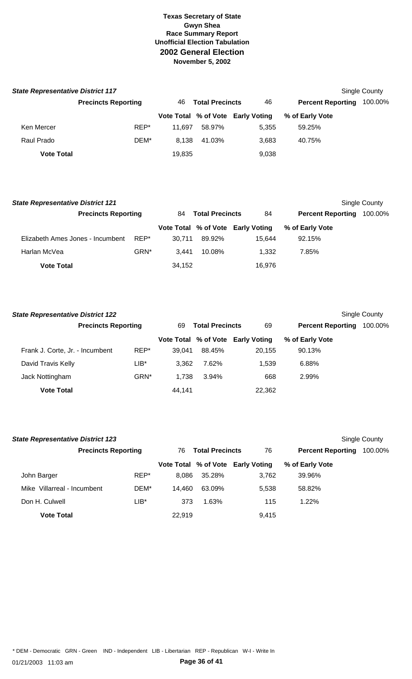| <b>State Representative District 117</b> |                            |        |                        |                                   |                          | Single County |
|------------------------------------------|----------------------------|--------|------------------------|-----------------------------------|--------------------------|---------------|
|                                          | <b>Precincts Reporting</b> | 46.    | <b>Total Precincts</b> |                                   | <b>Percent Reporting</b> | 100.00%       |
|                                          |                            |        |                        | Vote Total % of Vote Early Voting | % of Early Vote          |               |
| Ken Mercer                               | REP*                       | 11.697 | 58.97%                 | 5.355                             | 59.25%                   |               |
| Raul Prado                               | DEM*                       | 8.138  | 41.03%                 | 3.683                             | 40.75%                   |               |
| <b>Vote Total</b>                        |                            | 19,835 |                        | 9,038                             |                          |               |

| <b>State Representative District 121</b> |                            |        |                              |                                   |                          | Single County |
|------------------------------------------|----------------------------|--------|------------------------------|-----------------------------------|--------------------------|---------------|
|                                          | <b>Precincts Reporting</b> |        | <b>Total Precincts</b><br>84 |                                   | <b>Percent Reporting</b> | 100.00%       |
|                                          |                            |        |                              | Vote Total % of Vote Early Voting | % of Early Vote          |               |
| Elizabeth Ames Jones - Incumbent         | REP*                       | 30.711 | 89.92%                       | 15.644                            | 92.15%                   |               |
| Harlan McVea                             | GRN*                       | 3.441  | 10.08%                       | 1.332                             | 7.85%                    |               |
| <b>Vote Total</b>                        |                            | 34,152 |                              | 16,976                            |                          |               |

| <b>State Representative District 122</b> |                            |        |                              |                                   |                          | Single County |
|------------------------------------------|----------------------------|--------|------------------------------|-----------------------------------|--------------------------|---------------|
|                                          | <b>Precincts Reporting</b> |        | <b>Total Precincts</b><br>69 |                                   | <b>Percent Reporting</b> | 100.00%       |
|                                          |                            |        |                              | Vote Total % of Vote Early Voting | % of Early Vote          |               |
| Frank J. Corte, Jr. - Incumbent          | REP*                       | 39.041 | 88.45%                       | 20.155                            | 90.13%                   |               |
| David Travis Kelly                       | $LIB*$                     | 3.362  | 7.62%                        | 1.539                             | 6.88%                    |               |
| Jack Nottingham                          | GRN*                       | 1,738  | 3.94%                        | 668                               | 2.99%                    |               |
| <b>Vote Total</b>                        |                            | 44.141 |                              | 22,362                            |                          |               |

| <b>State Representative District 123</b> |                            |      |                              |        |                                   |                          | Single County |
|------------------------------------------|----------------------------|------|------------------------------|--------|-----------------------------------|--------------------------|---------------|
|                                          | <b>Precincts Reporting</b> |      | <b>Total Precincts</b><br>76 |        | 76                                | <b>Percent Reporting</b> | 100.00%       |
|                                          |                            |      |                              |        | Vote Total % of Vote Early Voting | % of Early Vote          |               |
| John Barger                              |                            | REP* | 8.086                        | 35.28% | 3.762                             | 39.96%                   |               |
| Mike Villarreal - Incumbent              |                            | DEM* | 14.460                       | 63.09% | 5.538                             | 58.82%                   |               |
| Don H. Culwell                           |                            | LIB* | 373                          | 1.63%  | 115                               | 1.22%                    |               |
| <b>Vote Total</b>                        |                            |      | 22.919                       |        | 9.415                             |                          |               |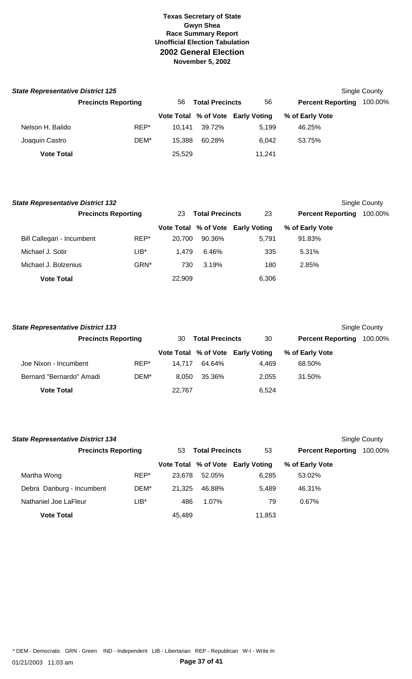| <b>State Representative District 125</b><br>Single County |                            |        |                        |                                   |                          |         |  |  |  |
|-----------------------------------------------------------|----------------------------|--------|------------------------|-----------------------------------|--------------------------|---------|--|--|--|
|                                                           | <b>Precincts Reporting</b> | 56     | <b>Total Precincts</b> |                                   | <b>Percent Reporting</b> | 100.00% |  |  |  |
|                                                           |                            |        |                        | Vote Total % of Vote Early Voting | % of Early Vote          |         |  |  |  |
| Nelson H. Balido                                          | REP*                       | 10.141 | 39.72%                 | 5.199                             | 46.25%                   |         |  |  |  |
| Joaquin Castro                                            | DEM*                       | 15.388 | 60.28%                 | 6.042                             | 53.75%                   |         |  |  |  |
| <b>Vote Total</b>                                         |                            | 25,529 |                        | 11.241                            |                          |         |  |  |  |

| <b>State Representative District 132</b> |                            |        |                              |                                   |                          | Single County |
|------------------------------------------|----------------------------|--------|------------------------------|-----------------------------------|--------------------------|---------------|
|                                          | <b>Precincts Reporting</b> |        | <b>Total Precincts</b><br>23 |                                   | <b>Percent Reporting</b> | 100.00%       |
|                                          |                            |        |                              | Vote Total % of Vote Early Voting | % of Early Vote          |               |
| Bill Callegari - Incumbent               | REP*                       | 20.700 | 90.36%                       | 5.791                             | 91.83%                   |               |
| Michael J. Sotir                         | $LIB*$                     | 1.479  | 6.46%                        | 335                               | 5.31%                    |               |
| Michael J. Bolzenius                     | GRN*                       | 730    | 3.19%                        | 180                               | 2.85%                    |               |
| <b>Vote Total</b>                        |                            | 22,909 |                              | 6,306                             |                          |               |

| <b>State Representative District 133</b> |                            |        |                              |                                   |                          | Single County |
|------------------------------------------|----------------------------|--------|------------------------------|-----------------------------------|--------------------------|---------------|
|                                          | <b>Precincts Reporting</b> |        | <b>Total Precincts</b><br>30 |                                   | <b>Percent Reporting</b> | 100.00%       |
|                                          |                            |        |                              | Vote Total % of Vote Early Voting | % of Early Vote          |               |
| Joe Nixon - Incumbent                    | REP*                       | 14.717 | 64.64%                       | 4.469                             | 68.50%                   |               |
| Bernard "Bernardo" Amadi                 | DEM*                       | 8.050  | 35.36%                       | 2.055                             | 31.50%                   |               |
| <b>Vote Total</b>                        |                            | 22.767 |                              | 6,524                             |                          |               |

| <b>State Representative District 134</b> |                            |        |                              |        |                                   |                          | <b>Single County</b> |
|------------------------------------------|----------------------------|--------|------------------------------|--------|-----------------------------------|--------------------------|----------------------|
|                                          | <b>Precincts Reporting</b> |        | <b>Total Precincts</b><br>53 |        | 53                                | <b>Percent Reporting</b> | 100.00%              |
|                                          |                            |        |                              |        | Vote Total % of Vote Early Voting | % of Early Vote          |                      |
| Martha Wong                              |                            | REP*   | 23.678                       | 52.05% | 6.285                             | 53.02%                   |                      |
| Debra Danburg - Incumbent                |                            | DEM*   | 21.325                       | 46.88% | 5.489                             | 46.31%                   |                      |
| Nathaniel Joe LaFleur                    |                            | $LIB*$ | 486                          | 1.07%  | 79                                | $0.67\%$                 |                      |
| <b>Vote Total</b>                        |                            |        | 45.489                       |        | 11,853                            |                          |                      |

01/21/2003 11:03 am \* DEM - Democratic GRN - Green IND - Independent LIB - Libertarian REP - Republican W-I - Write In **Page 37 of 41**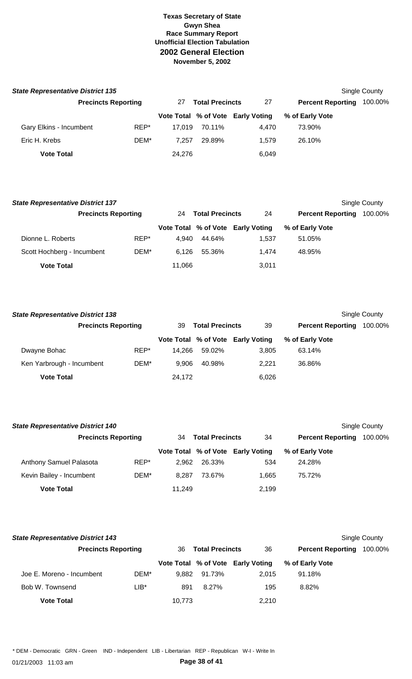| <b>State Representative District 135</b> |                            |      |                              |        |                                   |                          | Single County |
|------------------------------------------|----------------------------|------|------------------------------|--------|-----------------------------------|--------------------------|---------------|
|                                          | <b>Precincts Reporting</b> |      | <b>Total Precincts</b><br>27 |        | 27                                | <b>Percent Reporting</b> | 100.00%       |
|                                          |                            |      |                              |        | Vote Total % of Vote Early Voting | % of Early Vote          |               |
| Gary Elkins - Incumbent                  |                            | REP* | 17.019                       | 70.11% | 4.470                             | 73.90%                   |               |
| Eric H. Krebs                            |                            | DEM* | 7.257                        | 29.89% | 1.579                             | 26.10%                   |               |
| <b>Vote Total</b>                        |                            |      | 24,276                       |        | 6,049                             |                          |               |

| <b>State Representative District 137</b> |                            |      |                              |        |                                   |                          | Single County |
|------------------------------------------|----------------------------|------|------------------------------|--------|-----------------------------------|--------------------------|---------------|
|                                          | <b>Precincts Reporting</b> |      | <b>Total Precincts</b><br>24 |        | 24                                | <b>Percent Reporting</b> | 100.00%       |
|                                          |                            |      |                              |        | Vote Total % of Vote Early Voting | % of Early Vote          |               |
| Dionne L. Roberts                        |                            | REP* | 4.940                        | 44.64% | 1.537                             | 51.05%                   |               |
| Scott Hochberg - Incumbent               |                            | DEM* | 6.126                        | 55.36% | 1.474                             | 48.95%                   |               |
| <b>Vote Total</b>                        |                            |      | 11.066                       |        | 3,011                             |                          |               |

| <b>State Representative District 138</b> |                            |      |                              |        |                                   |                          | Single County |  |
|------------------------------------------|----------------------------|------|------------------------------|--------|-----------------------------------|--------------------------|---------------|--|
|                                          | <b>Precincts Reporting</b> |      | <b>Total Precincts</b><br>39 |        | 39                                | <b>Percent Reporting</b> | 100.00%       |  |
|                                          |                            |      |                              |        | Vote Total % of Vote Early Voting | % of Early Vote          |               |  |
| Dwayne Bohac                             |                            | REP* | 14.266                       | 59.02% | 3.805                             | 63.14%                   |               |  |
| Ken Yarbrough - Incumbent                |                            | DEM* | 9.906                        | 40.98% | 2.221                             | 36.86%                   |               |  |
| <b>Vote Total</b>                        |                            |      | 24,172                       |        | 6,026                             |                          |               |  |

| Single County<br><b>State Representative District 140</b> |                            |        |                              |                                   |                          |         |  |  |  |  |
|-----------------------------------------------------------|----------------------------|--------|------------------------------|-----------------------------------|--------------------------|---------|--|--|--|--|
|                                                           | <b>Precincts Reporting</b> |        | <b>Total Precincts</b><br>34 |                                   | <b>Percent Reporting</b> | 100.00% |  |  |  |  |
|                                                           |                            |        |                              | Vote Total % of Vote Early Voting | % of Early Vote          |         |  |  |  |  |
| Anthony Samuel Palasota                                   | REP*                       | 2.962  | 26.33%                       | 534                               | 24.28%                   |         |  |  |  |  |
| Kevin Bailey - Incumbent                                  | DEM*                       | 8.287  | 73.67%                       | 1.665                             | 75.72%                   |         |  |  |  |  |
| <b>Vote Total</b>                                         |                            | 11.249 |                              | 2,199                             |                          |         |  |  |  |  |

| <b>State Representative District 143</b><br>Single County |                              |        |        |                                   |                 |  |  |  |  |  |
|-----------------------------------------------------------|------------------------------|--------|--------|-----------------------------------|-----------------|--|--|--|--|--|
| <b>Precincts Reporting</b>                                | <b>Total Precincts</b><br>36 |        | 36     | <b>Percent Reporting</b>          | 100.00%         |  |  |  |  |  |
|                                                           |                              |        |        | Vote Total % of Vote Early Voting | % of Early Vote |  |  |  |  |  |
| Joe E. Moreno - Incumbent                                 | DEM*                         | 9.882  | 91.73% | 2.015                             | 91.18%          |  |  |  |  |  |
| Bob W. Townsend                                           | $LIB*$                       | 891    | 8.27%  | 195                               | 8.82%           |  |  |  |  |  |
| <b>Vote Total</b>                                         |                              | 10.773 |        | 2.210                             |                 |  |  |  |  |  |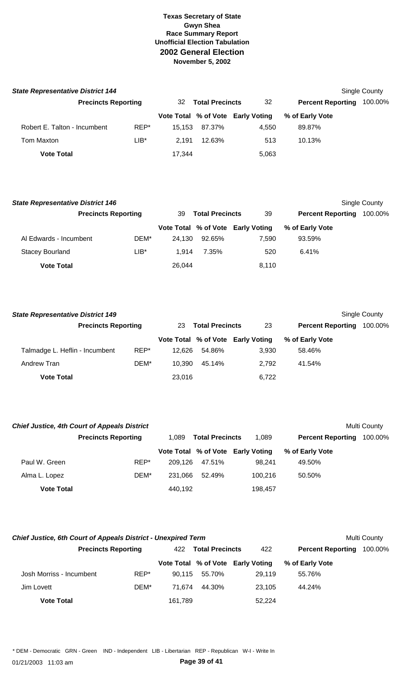| <b>State Representative District 144</b> |                            |         |                              |        |                                   |                          | Single County |
|------------------------------------------|----------------------------|---------|------------------------------|--------|-----------------------------------|--------------------------|---------------|
|                                          | <b>Precincts Reporting</b> |         | <b>Total Precincts</b><br>32 |        | 32                                | <b>Percent Reporting</b> | 100.00%       |
|                                          |                            |         |                              |        | Vote Total % of Vote Early Voting | % of Early Vote          |               |
| Robert E. Talton - Incumbent             |                            | REP*    | 15.153                       | 87.37% | 4.550                             | 89.87%                   |               |
| Tom Maxton                               |                            | $LIB^*$ | 2.191                        | 12.63% | 513                               | 10.13%                   |               |
| <b>Vote Total</b>                        |                            |         | 17,344                       |        | 5,063                             |                          |               |

| <b>State Representative District 146</b> |                            |      |                              |        |                                   |                          | Single County |
|------------------------------------------|----------------------------|------|------------------------------|--------|-----------------------------------|--------------------------|---------------|
|                                          | <b>Precincts Reporting</b> |      | <b>Total Precincts</b><br>39 |        | 39                                | <b>Percent Reporting</b> | 100.00%       |
|                                          |                            |      |                              |        | Vote Total % of Vote Early Voting | % of Early Vote          |               |
| Al Edwards - Incumbent                   |                            | DEM* | 24.130                       | 92.65% | 7.590                             | 93.59%                   |               |
| <b>Stacey Bourland</b>                   |                            | LIB* | 1.914                        | 7.35%  | 520                               | 6.41%                    |               |
| <b>Vote Total</b>                        |                            |      | 26,044                       |        | 8,110                             |                          |               |

| <b>State Representative District 149</b> |                            |      |                              |        |                                   |                          | Single County |  |
|------------------------------------------|----------------------------|------|------------------------------|--------|-----------------------------------|--------------------------|---------------|--|
|                                          | <b>Precincts Reporting</b> |      | <b>Total Precincts</b><br>23 |        | 23                                | <b>Percent Reporting</b> | 100.00%       |  |
|                                          |                            |      |                              |        | Vote Total % of Vote Early Voting | % of Early Vote          |               |  |
| Talmadge L. Heflin - Incumbent           |                            | REP* | 12.626                       | 54.86% | 3.930                             | 58.46%                   |               |  |
| Andrew Tran                              |                            | DEM* | 10.390                       | 45.14% | 2.792                             | 41.54%                   |               |  |
| <b>Vote Total</b>                        |                            |      | 23,016                       |        | 6,722                             |                          |               |  |

| Multi County<br><b>Chief Justice, 4th Court of Appeals District</b> |                            |                                 |        |                                   |                          |         |  |  |  |
|---------------------------------------------------------------------|----------------------------|---------------------------------|--------|-----------------------------------|--------------------------|---------|--|--|--|
|                                                                     | <b>Precincts Reporting</b> | 1.089<br><b>Total Precincts</b> |        | 1.089                             | <b>Percent Reporting</b> | 100.00% |  |  |  |
|                                                                     |                            |                                 |        | Vote Total % of Vote Early Voting | % of Early Vote          |         |  |  |  |
| Paul W. Green                                                       | REP*                       | 209.126                         | 47.51% | 98.241                            | 49.50%                   |         |  |  |  |
| Alma L. Lopez                                                       | DEM*                       | 231.066                         | 52.49% | 100.216                           | 50.50%                   |         |  |  |  |
| <b>Vote Total</b>                                                   |                            | 440,192                         |        | 198,457                           |                          |         |  |  |  |

| <b>Chief Justice, 6th Court of Appeals District - Unexpired Term</b><br>Multi County |                            |         |                               |                                   |                          |         |  |  |  |  |
|--------------------------------------------------------------------------------------|----------------------------|---------|-------------------------------|-----------------------------------|--------------------------|---------|--|--|--|--|
|                                                                                      | <b>Precincts Reporting</b> |         | <b>Total Precincts</b><br>422 |                                   | <b>Percent Reporting</b> | 100.00% |  |  |  |  |
|                                                                                      |                            |         |                               | Vote Total % of Vote Early Voting | % of Early Vote          |         |  |  |  |  |
| Josh Morriss - Incumbent                                                             | REP*                       | 90.115  | 55.70%                        | 29.119                            | 55.76%                   |         |  |  |  |  |
| Jim Lovett                                                                           | DEM*                       | 71.674  | 44.30%                        | 23.105                            | 44.24%                   |         |  |  |  |  |
| <b>Vote Total</b>                                                                    |                            | 161.789 |                               | 52.224                            |                          |         |  |  |  |  |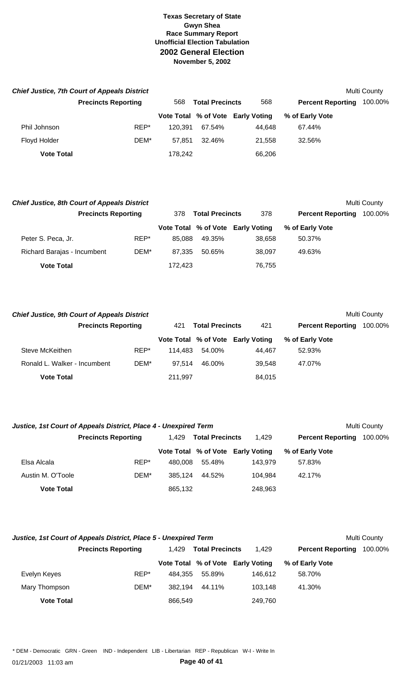|                   | <b>Chief Justice, 7th Court of Appeals District</b> |                               |        |                                   |                          | Multi County |
|-------------------|-----------------------------------------------------|-------------------------------|--------|-----------------------------------|--------------------------|--------------|
|                   | <b>Precincts Reporting</b>                          | <b>Total Precincts</b><br>568 |        | 568                               | <b>Percent Reporting</b> | 100.00%      |
|                   |                                                     |                               |        | Vote Total % of Vote Early Voting | % of Early Vote          |              |
| Phil Johnson      | REP*                                                | 120.391                       | 67.54% | 44.648                            | 67.44%                   |              |
| Floyd Holder      | DEM*                                                | 57.851                        | 32.46% | 21.558                            | 32.56%                   |              |
| <b>Vote Total</b> |                                                     | 178.242                       |        | 66,206                            |                          |              |

| <b>Chief Justice, 8th Court of Appeals District</b> |                            |      |                               |        |                                   |                          | Multi County |
|-----------------------------------------------------|----------------------------|------|-------------------------------|--------|-----------------------------------|--------------------------|--------------|
|                                                     | <b>Precincts Reporting</b> |      | <b>Total Precincts</b><br>378 |        | 378                               | <b>Percent Reporting</b> | 100.00%      |
|                                                     |                            |      |                               |        | Vote Total % of Vote Early Voting | % of Early Vote          |              |
| Peter S. Peca, Jr.                                  |                            | REP* | 85.088                        | 49.35% | 38.658                            | 50.37%                   |              |
| Richard Barajas - Incumbent                         |                            | DEM* | 87.335                        | 50.65% | 38.097                            | 49.63%                   |              |
| <b>Vote Total</b>                                   |                            |      | 172.423                       |        | 76,755                            |                          |              |

| <b>Chief Justice, 9th Court of Appeals District</b> |                            |      |                               |        |                                   |                          | Multi County |
|-----------------------------------------------------|----------------------------|------|-------------------------------|--------|-----------------------------------|--------------------------|--------------|
|                                                     | <b>Precincts Reporting</b> |      | <b>Total Precincts</b><br>421 |        | 421                               | <b>Percent Reporting</b> | 100.00%      |
|                                                     |                            |      |                               |        | Vote Total % of Vote Early Voting | % of Early Vote          |              |
| Steve McKeithen                                     |                            | REP* | 114.483                       | 54.00% | 44.467                            | 52.93%                   |              |
| Ronald L. Walker - Incumbent                        |                            | DEM* | 97.514                        | 46.00% | 39.548                            | 47.07%                   |              |
| <b>Vote Total</b>                                   |                            |      | 211.997                       |        | 84,015                            |                          |              |

|                   | Justice, 1st Court of Appeals District, Place 4 - Unexpired Term | Multi County                    |        |                                   |                          |         |
|-------------------|------------------------------------------------------------------|---------------------------------|--------|-----------------------------------|--------------------------|---------|
|                   | <b>Precincts Reporting</b>                                       | 1.429<br><b>Total Precincts</b> |        | 1.429                             | <b>Percent Reporting</b> | 100.00% |
|                   |                                                                  |                                 |        | Vote Total % of Vote Early Voting | % of Early Vote          |         |
| Elsa Alcala       | REP*                                                             | 480.008                         | 55.48% | 143.979                           | 57.83%                   |         |
| Austin M. O'Toole | DEM*                                                             | 385.124                         | 44.52% | 104.984                           | 42.17%                   |         |
| <b>Vote Total</b> |                                                                  | 865,132                         |        | 248,963                           |                          |         |

| Justice, 1st Court of Appeals District, Place 5 - Unexpired Term | Multi County               |                                 |        |                                   |                          |         |
|------------------------------------------------------------------|----------------------------|---------------------------------|--------|-----------------------------------|--------------------------|---------|
|                                                                  | <b>Precincts Reporting</b> | <b>Total Precincts</b><br>1.429 |        | 1.429                             | <b>Percent Reporting</b> | 100.00% |
|                                                                  |                            |                                 |        | Vote Total % of Vote Early Voting | % of Early Vote          |         |
| Evelyn Keyes                                                     | REP*                       | 484.355                         | 55.89% | 146.612                           | 58.70%                   |         |
| Mary Thompson                                                    | DEM*                       | 382.194                         | 44.11% | 103.148                           | 41.30%                   |         |
| <b>Vote Total</b>                                                |                            | 866.549                         |        | 249.760                           |                          |         |